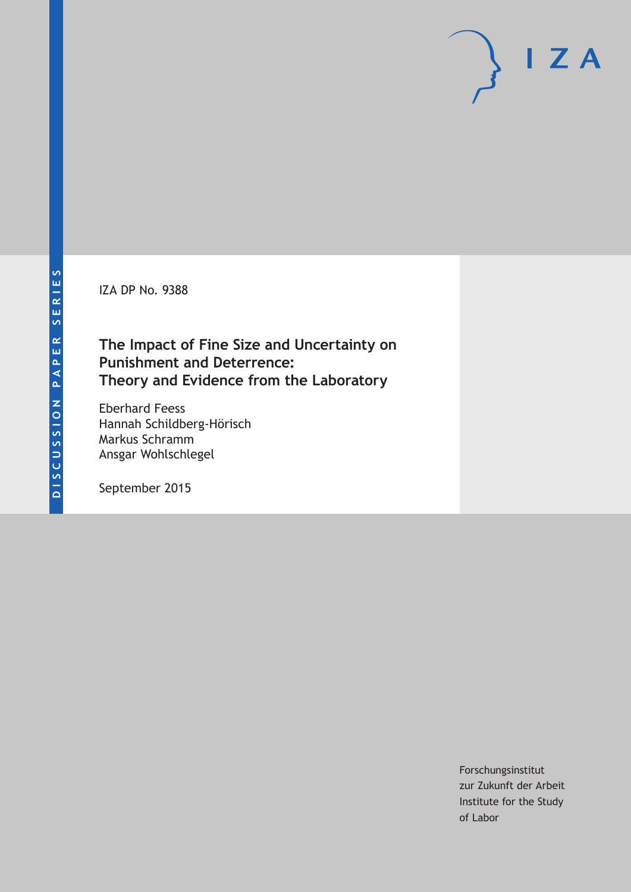IZA DP No. 9388

# **The Impact of Fine Size and Uncertainty on Punishment and Deterrence: Theory and Evidence from the Laboratory**

Eberhard Feess Hannah Schildberg-Hörisch Markus Schramm Ansgar Wohlschlegel

September 2015

Forschungsinstitut zur Zukunft der Arbeit Institute for the Study of Labor

 $I Z A$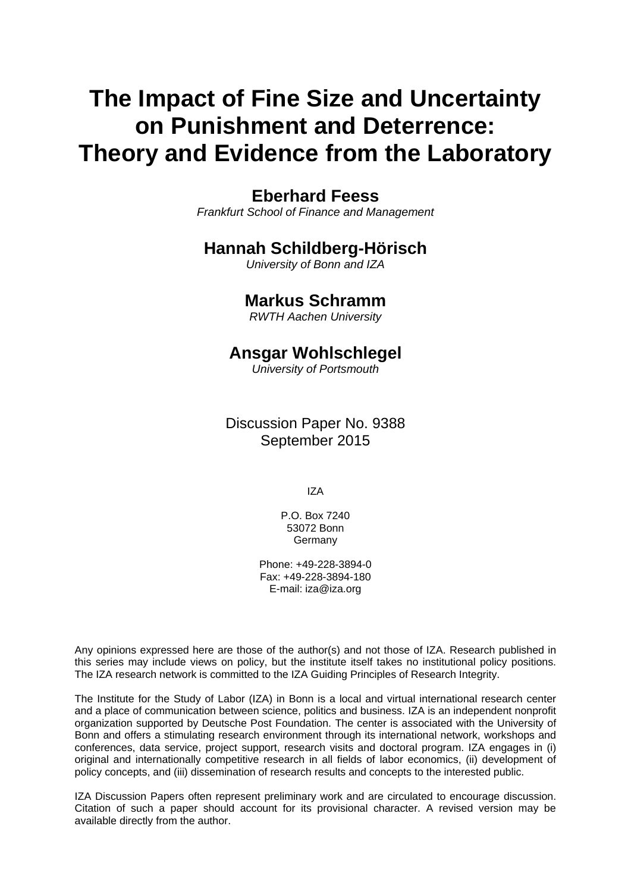# **The Impact of Fine Size and Uncertainty on Punishment and Deterrence: Theory and Evidence from the Laboratory**

# **Eberhard Feess**

*Frankfurt School of Finance and Management* 

# **Hannah Schildberg-Hörisch**

*University of Bonn and IZA* 

# **Markus Schramm**

*RWTH Aachen University*

# **Ansgar Wohlschlegel**

*University of Portsmouth*

Discussion Paper No. 9388 September 2015

IZA

P.O. Box 7240 53072 Bonn Germany

Phone: +49-228-3894-0 Fax: +49-228-3894-180 E-mail: iza@iza.org

Any opinions expressed here are those of the author(s) and not those of IZA. Research published in this series may include views on policy, but the institute itself takes no institutional policy positions. The IZA research network is committed to the IZA Guiding Principles of Research Integrity.

The Institute for the Study of Labor (IZA) in Bonn is a local and virtual international research center and a place of communication between science, politics and business. IZA is an independent nonprofit organization supported by Deutsche Post Foundation. The center is associated with the University of Bonn and offers a stimulating research environment through its international network, workshops and conferences, data service, project support, research visits and doctoral program. IZA engages in (i) original and internationally competitive research in all fields of labor economics, (ii) development of policy concepts, and (iii) dissemination of research results and concepts to the interested public.

IZA Discussion Papers often represent preliminary work and are circulated to encourage discussion. Citation of such a paper should account for its provisional character. A revised version may be available directly from the author.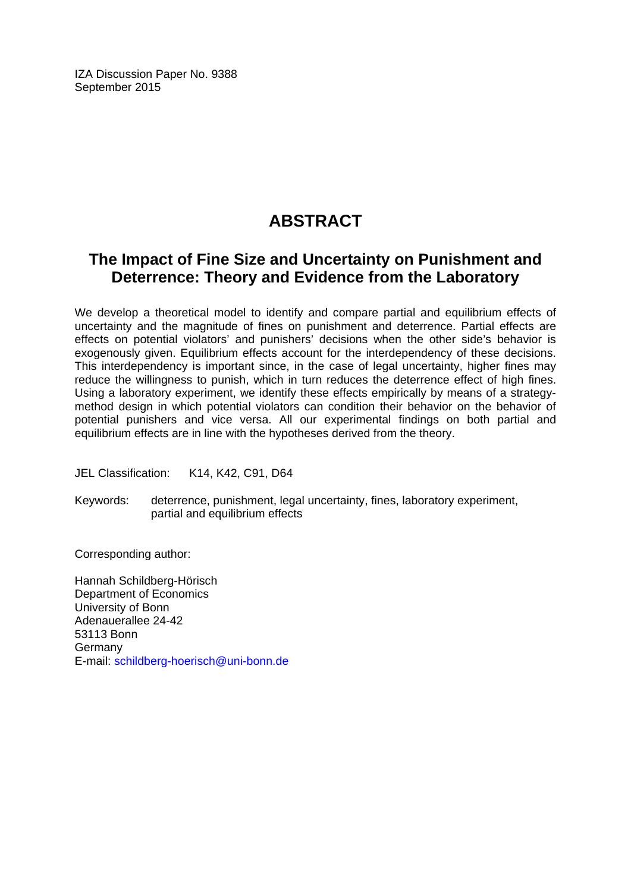IZA Discussion Paper No. 9388 September 2015

# **ABSTRACT**

# **The Impact of Fine Size and Uncertainty on Punishment and Deterrence: Theory and Evidence from the Laboratory**

We develop a theoretical model to identify and compare partial and equilibrium effects of uncertainty and the magnitude of fines on punishment and deterrence. Partial effects are effects on potential violators' and punishers' decisions when the other side's behavior is exogenously given. Equilibrium effects account for the interdependency of these decisions. This interdependency is important since, in the case of legal uncertainty, higher fines may reduce the willingness to punish, which in turn reduces the deterrence effect of high fines. Using a laboratory experiment, we identify these effects empirically by means of a strategymethod design in which potential violators can condition their behavior on the behavior of potential punishers and vice versa. All our experimental findings on both partial and equilibrium effects are in line with the hypotheses derived from the theory.

JEL Classification: K14, K42, C91, D64

Keywords: deterrence, punishment, legal uncertainty, fines, laboratory experiment, partial and equilibrium effects

Corresponding author:

Hannah Schildberg-Hörisch Department of Economics University of Bonn Adenauerallee 24-42 53113 Bonn Germany E-mail: schildberg-hoerisch@uni-bonn.de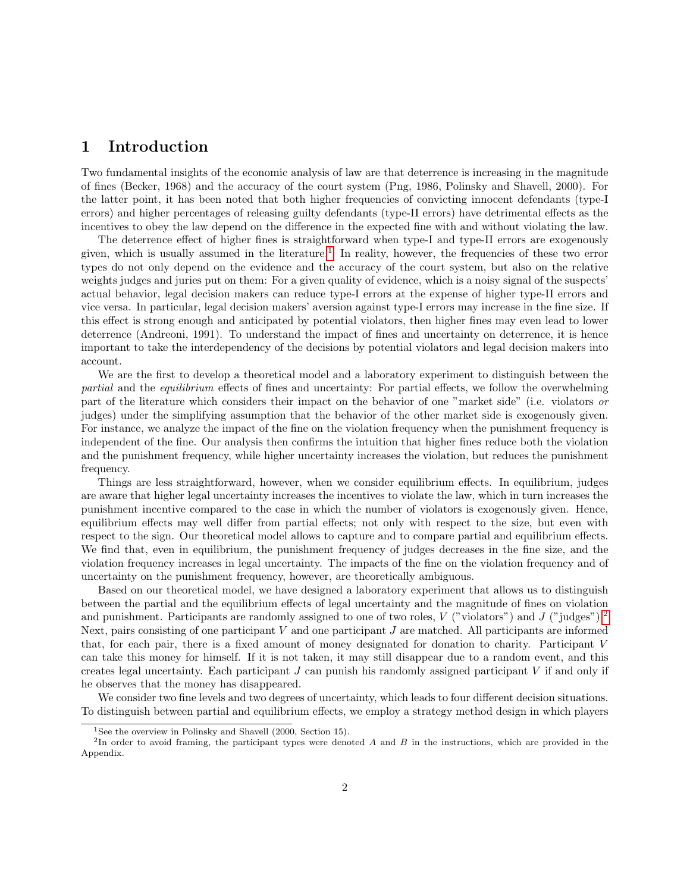### 1 Introduction

Two fundamental insights of the economic analysis of law are that deterrence is increasing in the magnitude of fines (Becker, 1968) and the accuracy of the court system (Png, 1986, Polinsky and Shavell, 2000). For the latter point, it has been noted that both higher frequencies of convicting innocent defendants (type-I errors) and higher percentages of releasing guilty defendants (type-II errors) have detrimental effects as the incentives to obey the law depend on the difference in the expected fine with and without violating the law.

The deterrence effect of higher fines is straightforward when type-I and type-II errors are exogenously given, which is usually assumed in the literature.<sup>[1](#page-3-0)</sup> In reality, however, the frequencies of these two error types do not only depend on the evidence and the accuracy of the court system, but also on the relative weights judges and juries put on them: For a given quality of evidence, which is a noisy signal of the suspects' actual behavior, legal decision makers can reduce type-I errors at the expense of higher type-II errors and vice versa. In particular, legal decision makers' aversion against type-I errors may increase in the fine size. If this effect is strong enough and anticipated by potential violators, then higher fines may even lead to lower deterrence (Andreoni, 1991). To understand the impact of fines and uncertainty on deterrence, it is hence important to take the interdependency of the decisions by potential violators and legal decision makers into account.

We are the first to develop a theoretical model and a laboratory experiment to distinguish between the partial and the equilibrium effects of fines and uncertainty: For partial effects, we follow the overwhelming part of the literature which considers their impact on the behavior of one "market side" (i.e. violators or judges) under the simplifying assumption that the behavior of the other market side is exogenously given. For instance, we analyze the impact of the fine on the violation frequency when the punishment frequency is independent of the fine. Our analysis then confirms the intuition that higher fines reduce both the violation and the punishment frequency, while higher uncertainty increases the violation, but reduces the punishment frequency.

Things are less straightforward, however, when we consider equilibrium effects. In equilibrium, judges are aware that higher legal uncertainty increases the incentives to violate the law, which in turn increases the punishment incentive compared to the case in which the number of violators is exogenously given. Hence, equilibrium effects may well differ from partial effects; not only with respect to the size, but even with respect to the sign. Our theoretical model allows to capture and to compare partial and equilibrium effects. We find that, even in equilibrium, the punishment frequency of judges decreases in the fine size, and the violation frequency increases in legal uncertainty. The impacts of the fine on the violation frequency and of uncertainty on the punishment frequency, however, are theoretically ambiguous.

Based on our theoretical model, we have designed a laboratory experiment that allows us to distinguish between the partial and the equilibrium effects of legal uncertainty and the magnitude of fines on violation and punishment. Participants are randomly assigned to one of two roles, V ("violators") and J ("judges").<sup>[2](#page-3-1)</sup> Next, pairs consisting of one participant  $V$  and one participant  $J$  are matched. All participants are informed that, for each pair, there is a fixed amount of money designated for donation to charity. Participant V can take this money for himself. If it is not taken, it may still disappear due to a random event, and this creates legal uncertainty. Each participant  $J$  can punish his randomly assigned participant  $V$  if and only if he observes that the money has disappeared.

We consider two fine levels and two degrees of uncertainty, which leads to four different decision situations. To distinguish between partial and equilibrium effects, we employ a strategy method design in which players

<span id="page-3-1"></span><span id="page-3-0"></span><sup>&</sup>lt;sup>1</sup>See the overview in Polinsky and Shavell  $(2000, Section 15)$ .

<sup>&</sup>lt;sup>2</sup>In order to avoid framing, the participant types were denoted A and B in the instructions, which are provided in the Appendix.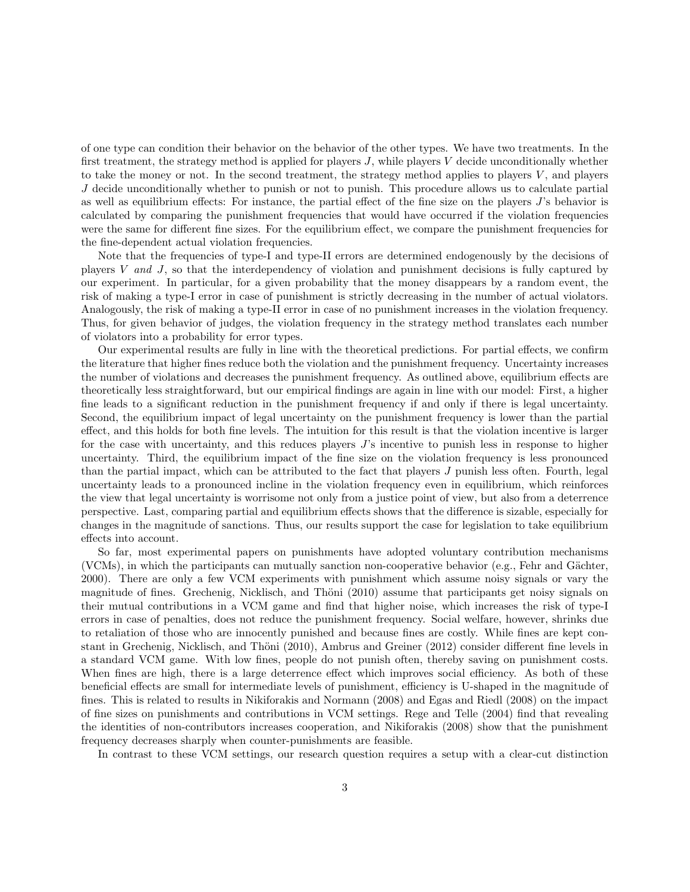of one type can condition their behavior on the behavior of the other types. We have two treatments. In the first treatment, the strategy method is applied for players  $J$ , while players  $V$  decide unconditionally whether to take the money or not. In the second treatment, the strategy method applies to players V , and players J decide unconditionally whether to punish or not to punish. This procedure allows us to calculate partial as well as equilibrium effects: For instance, the partial effect of the fine size on the players J's behavior is calculated by comparing the punishment frequencies that would have occurred if the violation frequencies were the same for different fine sizes. For the equilibrium effect, we compare the punishment frequencies for the fine-dependent actual violation frequencies.

Note that the frequencies of type-I and type-II errors are determined endogenously by the decisions of players V and J, so that the interdependency of violation and punishment decisions is fully captured by our experiment. In particular, for a given probability that the money disappears by a random event, the risk of making a type-I error in case of punishment is strictly decreasing in the number of actual violators. Analogously, the risk of making a type-II error in case of no punishment increases in the violation frequency. Thus, for given behavior of judges, the violation frequency in the strategy method translates each number of violators into a probability for error types.

Our experimental results are fully in line with the theoretical predictions. For partial effects, we confirm the literature that higher fines reduce both the violation and the punishment frequency. Uncertainty increases the number of violations and decreases the punishment frequency. As outlined above, equilibrium effects are theoretically less straightforward, but our empirical findings are again in line with our model: First, a higher fine leads to a significant reduction in the punishment frequency if and only if there is legal uncertainty. Second, the equilibrium impact of legal uncertainty on the punishment frequency is lower than the partial effect, and this holds for both fine levels. The intuition for this result is that the violation incentive is larger for the case with uncertainty, and this reduces players J's incentive to punish less in response to higher uncertainty. Third, the equilibrium impact of the fine size on the violation frequency is less pronounced than the partial impact, which can be attributed to the fact that players J punish less often. Fourth, legal uncertainty leads to a pronounced incline in the violation frequency even in equilibrium, which reinforces the view that legal uncertainty is worrisome not only from a justice point of view, but also from a deterrence perspective. Last, comparing partial and equilibrium effects shows that the difference is sizable, especially for changes in the magnitude of sanctions. Thus, our results support the case for legislation to take equilibrium effects into account.

So far, most experimental papers on punishments have adopted voluntary contribution mechanisms  $(VCMs)$ , in which the participants can mutually sanction non-cooperative behavior (e.g., Fehr and Gächter, 2000). There are only a few VCM experiments with punishment which assume noisy signals or vary the magnitude of fines. Grechenig, Nicklisch, and Thöni (2010) assume that participants get noisy signals on their mutual contributions in a VCM game and find that higher noise, which increases the risk of type-I errors in case of penalties, does not reduce the punishment frequency. Social welfare, however, shrinks due to retaliation of those who are innocently punished and because fines are costly. While fines are kept constant in Grechenig, Nicklisch, and Thöni (2010), Ambrus and Greiner (2012) consider different fine levels in a standard VCM game. With low fines, people do not punish often, thereby saving on punishment costs. When fines are high, there is a large deterrence effect which improves social efficiency. As both of these beneficial effects are small for intermediate levels of punishment, efficiency is U-shaped in the magnitude of fines. This is related to results in Nikiforakis and Normann (2008) and Egas and Riedl (2008) on the impact of fine sizes on punishments and contributions in VCM settings. Rege and Telle (2004) find that revealing the identities of non-contributors increases cooperation, and Nikiforakis (2008) show that the punishment frequency decreases sharply when counter-punishments are feasible.

In contrast to these VCM settings, our research question requires a setup with a clear-cut distinction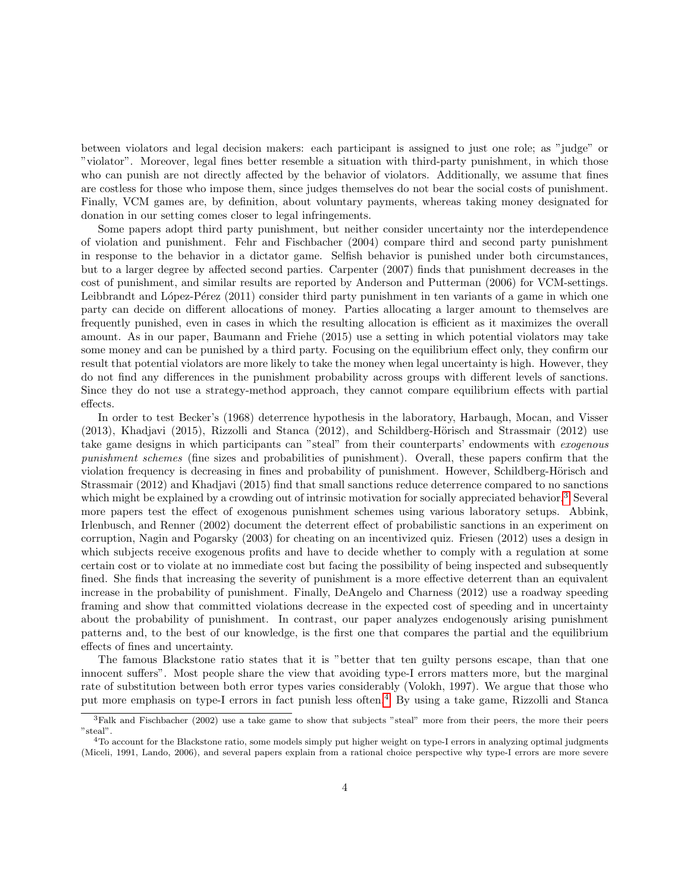between violators and legal decision makers: each participant is assigned to just one role; as "judge" or "violator". Moreover, legal fines better resemble a situation with third-party punishment, in which those who can punish are not directly affected by the behavior of violators. Additionally, we assume that fines are costless for those who impose them, since judges themselves do not bear the social costs of punishment. Finally, VCM games are, by definition, about voluntary payments, whereas taking money designated for donation in our setting comes closer to legal infringements.

Some papers adopt third party punishment, but neither consider uncertainty nor the interdependence of violation and punishment. Fehr and Fischbacher (2004) compare third and second party punishment in response to the behavior in a dictator game. Selfish behavior is punished under both circumstances, but to a larger degree by affected second parties. Carpenter (2007) finds that punishment decreases in the cost of punishment, and similar results are reported by Anderson and Putterman (2006) for VCM-settings. Leibbrandt and López-Pérez (2011) consider third party punishment in ten variants of a game in which one party can decide on different allocations of money. Parties allocating a larger amount to themselves are frequently punished, even in cases in which the resulting allocation is efficient as it maximizes the overall amount. As in our paper, Baumann and Friehe (2015) use a setting in which potential violators may take some money and can be punished by a third party. Focusing on the equilibrium effect only, they confirm our result that potential violators are more likely to take the money when legal uncertainty is high. However, they do not find any differences in the punishment probability across groups with different levels of sanctions. Since they do not use a strategy-method approach, they cannot compare equilibrium effects with partial effects.

In order to test Becker's (1968) deterrence hypothesis in the laboratory, Harbaugh, Mocan, and Visser  $(2013)$ , Khadjavi (2015), Rizzolli and Stanca (2012), and Schildberg-Hörisch and Strassmair (2012) use take game designs in which participants can "steal" from their counterparts' endowments with exogenous punishment schemes (fine sizes and probabilities of punishment). Overall, these papers confirm that the violation frequency is decreasing in fines and probability of punishment. However, Schildberg-Hörisch and Strassmair (2012) and Khadjavi (2015) find that small sanctions reduce deterrence compared to no sanctions which might be explained by a crowding out of intrinsic motivation for socially appreciated behavior.<sup>[3](#page-5-0)</sup> Several more papers test the effect of exogenous punishment schemes using various laboratory setups. Abbink, Irlenbusch, and Renner (2002) document the deterrent effect of probabilistic sanctions in an experiment on corruption, Nagin and Pogarsky (2003) for cheating on an incentivized quiz. Friesen (2012) uses a design in which subjects receive exogenous profits and have to decide whether to comply with a regulation at some certain cost or to violate at no immediate cost but facing the possibility of being inspected and subsequently fined. She finds that increasing the severity of punishment is a more effective deterrent than an equivalent increase in the probability of punishment. Finally, DeAngelo and Charness (2012) use a roadway speeding framing and show that committed violations decrease in the expected cost of speeding and in uncertainty about the probability of punishment. In contrast, our paper analyzes endogenously arising punishment patterns and, to the best of our knowledge, is the first one that compares the partial and the equilibrium effects of fines and uncertainty.

The famous Blackstone ratio states that it is "better that ten guilty persons escape, than that one innocent suffers". Most people share the view that avoiding type-I errors matters more, but the marginal rate of substitution between both error types varies considerably (Volokh, 1997). We argue that those who put more emphasis on type-I errors in fact punish less often.<sup>[4](#page-5-1)</sup> By using a take game, Rizzolli and Stanca

<span id="page-5-0"></span><sup>&</sup>lt;sup>3</sup>Falk and Fischbacher (2002) use a take game to show that subjects "steal" more from their peers, the more their peers "steal".

<span id="page-5-1"></span><sup>&</sup>lt;sup>4</sup>To account for the Blackstone ratio, some models simply put higher weight on type-I errors in analyzing optimal judgments (Miceli, 1991, Lando, 2006), and several papers explain from a rational choice perspective why type-I errors are more severe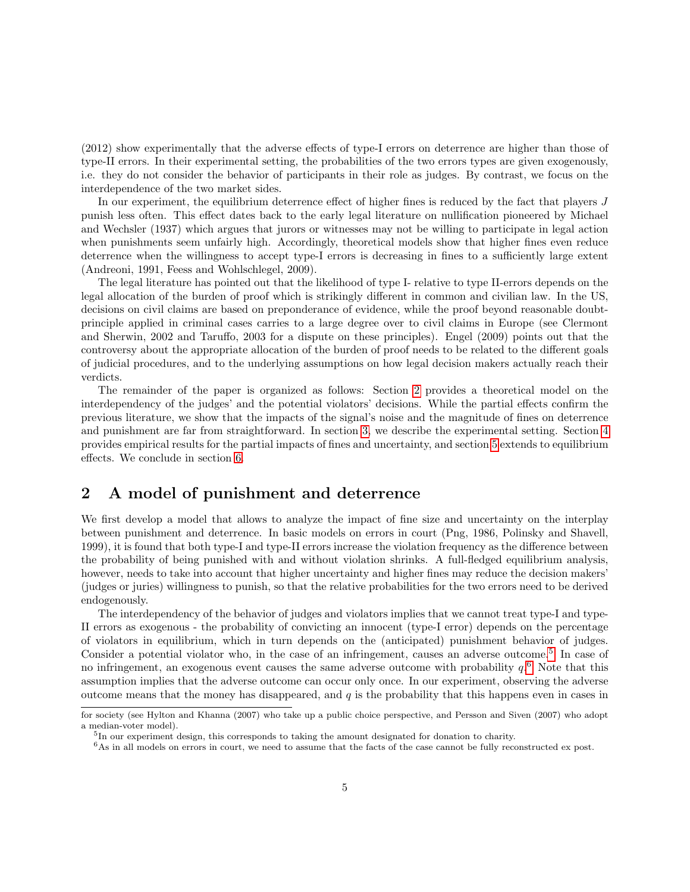(2012) show experimentally that the adverse effects of type-I errors on deterrence are higher than those of type-II errors. In their experimental setting, the probabilities of the two errors types are given exogenously, i.e. they do not consider the behavior of participants in their role as judges. By contrast, we focus on the interdependence of the two market sides.

In our experiment, the equilibrium deterrence effect of higher fines is reduced by the fact that players J punish less often. This effect dates back to the early legal literature on nullification pioneered by Michael and Wechsler (1937) which argues that jurors or witnesses may not be willing to participate in legal action when punishments seem unfairly high. Accordingly, theoretical models show that higher fines even reduce deterrence when the willingness to accept type-I errors is decreasing in fines to a sufficiently large extent (Andreoni, 1991, Feess and Wohlschlegel, 2009).

The legal literature has pointed out that the likelihood of type I- relative to type II-errors depends on the legal allocation of the burden of proof which is strikingly different in common and civilian law. In the US, decisions on civil claims are based on preponderance of evidence, while the proof beyond reasonable doubtprinciple applied in criminal cases carries to a large degree over to civil claims in Europe (see Clermont and Sherwin, 2002 and Taruffo, 2003 for a dispute on these principles). Engel (2009) points out that the controversy about the appropriate allocation of the burden of proof needs to be related to the different goals of judicial procedures, and to the underlying assumptions on how legal decision makers actually reach their verdicts.

The remainder of the paper is organized as follows: Section [2](#page-6-0) provides a theoretical model on the interdependency of the judges' and the potential violators' decisions. While the partial effects confirm the previous literature, we show that the impacts of the signal's noise and the magnitude of fines on deterrence and punishment are far from straightforward. In section [3,](#page-9-0) we describe the experimental setting. Section [4](#page-12-0) provides empirical results for the partial impacts of fines and uncertainty, and section [5](#page-15-0) extends to equilibrium effects. We conclude in section [6.](#page-20-0)

### <span id="page-6-0"></span>2 A model of punishment and deterrence

We first develop a model that allows to analyze the impact of fine size and uncertainty on the interplay between punishment and deterrence. In basic models on errors in court (Png, 1986, Polinsky and Shavell, 1999), it is found that both type-I and type-II errors increase the violation frequency as the difference between the probability of being punished with and without violation shrinks. A full-fledged equilibrium analysis, however, needs to take into account that higher uncertainty and higher fines may reduce the decision makers' (judges or juries) willingness to punish, so that the relative probabilities for the two errors need to be derived endogenously.

The interdependency of the behavior of judges and violators implies that we cannot treat type-I and type-II errors as exogenous - the probability of convicting an innocent (type-I error) depends on the percentage of violators in equilibrium, which in turn depends on the (anticipated) punishment behavior of judges. Consider a potential violator who, in the case of an infringement, causes an adverse outcome.<sup>[5](#page-6-1)</sup> In case of no infringement, an exogenous event causes the same adverse outcome with probability  $q<sup>6</sup>$  $q<sup>6</sup>$  $q<sup>6</sup>$  Note that this assumption implies that the adverse outcome can occur only once. In our experiment, observing the adverse outcome means that the money has disappeared, and  $q$  is the probability that this happens even in cases in

for society (see Hylton and Khanna (2007) who take up a public choice perspective, and Persson and Siven (2007) who adopt a median-voter model).

<span id="page-6-1"></span><sup>&</sup>lt;sup>5</sup>In our experiment design, this corresponds to taking the amount designated for donation to charity.

<span id="page-6-2"></span> $6$ As in all models on errors in court, we need to assume that the facts of the case cannot be fully reconstructed ex post.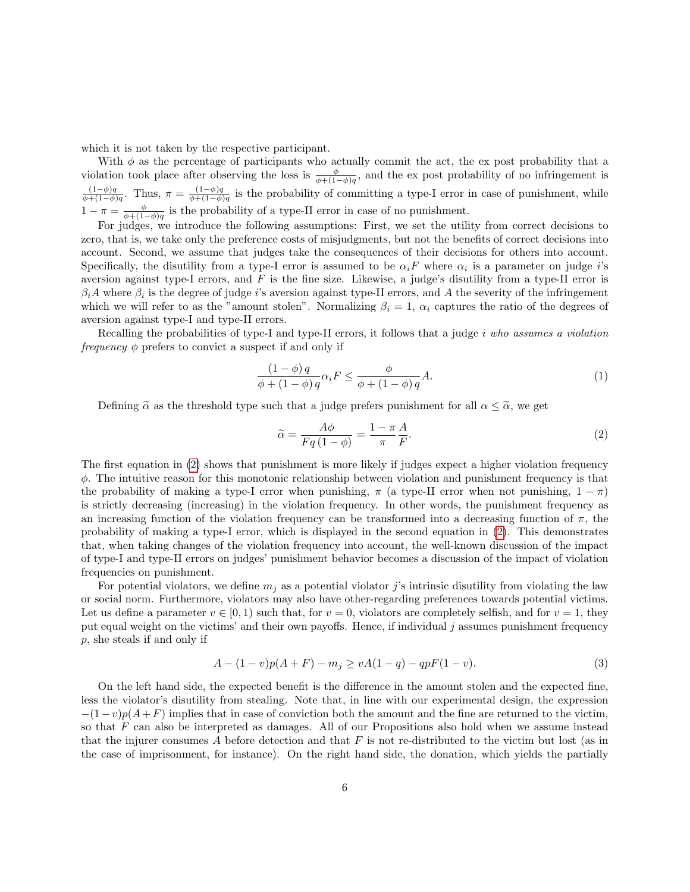which it is not taken by the respective participant.

With  $\phi$  as the percentage of participants who actually commit the act, the ex post probability that a violation took place after observing the loss is  $\frac{\phi}{\phi + (1-\phi)q}$ , and the ex post probability of no infringement is  $(1-\phi)q$  $\frac{(1-\phi)q}{\phi+(1-\phi)q}$ . Thus,  $\pi = \frac{(1-\phi)q}{\phi+(1-\phi)q}$  $\frac{(1-\phi)q}{\phi+(1-\phi)q}$  is the probability of committing a type-I error in case of punishment, while  $1 - \pi = \frac{\phi}{\phi + (1 - \phi)q}$  is the probability of a type-II error in case of no punishment.

For judges, we introduce the following assumptions: First, we set the utility from correct decisions to zero, that is, we take only the preference costs of misjudgments, but not the benefits of correct decisions into account. Second, we assume that judges take the consequences of their decisions for others into account. Specifically, the disutility from a type-I error is assumed to be  $\alpha_i$  where  $\alpha_i$  is a parameter on judge *i*'s aversion against type-I errors, and  $F$  is the fine size. Likewise, a judge's disutility from a type-II error is  $\beta_i A$  where  $\beta_i$  is the degree of judge i's aversion against type-II errors, and A the severity of the infringement which we will refer to as the "amount stolen". Normalizing  $\beta_i = 1$ ,  $\alpha_i$  captures the ratio of the degrees of aversion against type-I and type-II errors.

Recalling the probabilities of type-I and type-II errors, it follows that a judge  $i$  who assumes a violation *frequency*  $\phi$  prefers to convict a suspect if and only if

$$
\frac{(1-\phi)q}{\phi + (1-\phi)q} \alpha_i F \le \frac{\phi}{\phi + (1-\phi)q} A.
$$
\n(1)

Defining  $\tilde{\alpha}$  as the threshold type such that a judge prefers punishment for all  $\alpha \leq \tilde{\alpha}$ , we get

<span id="page-7-0"></span>
$$
\widetilde{\alpha} = \frac{A\phi}{Fq(1-\phi)} = \frac{1-\pi}{\pi} \frac{A}{F}.\tag{2}
$$

The first equation in [\(2\)](#page-7-0) shows that punishment is more likely if judges expect a higher violation frequency  $\phi$ . The intuitive reason for this monotonic relationship between violation and punishment frequency is that the probability of making a type-I error when punishing,  $\pi$  (a type-II error when not punishing,  $1 - \pi$ ) is strictly decreasing (increasing) in the violation frequency. In other words, the punishment frequency as an increasing function of the violation frequency can be transformed into a decreasing function of  $\pi$ , the probability of making a type-I error, which is displayed in the second equation in [\(2\)](#page-7-0). This demonstrates that, when taking changes of the violation frequency into account, the well-known discussion of the impact of type-I and type-II errors on judges' punishment behavior becomes a discussion of the impact of violation frequencies on punishment.

For potential violators, we define  $m_i$  as a potential violator j's intrinsic disutility from violating the law or social norm. Furthermore, violators may also have other-regarding preferences towards potential victims. Let us define a parameter  $v \in [0, 1)$  such that, for  $v = 0$ , violators are completely selfish, and for  $v = 1$ , they put equal weight on the victims' and their own payoffs. Hence, if individual j assumes punishment frequency p, she steals if and only if

$$
A - (1 - v)p(A + F) - m_j \ge vA(1 - q) - qpF(1 - v).
$$
\n(3)

On the left hand side, the expected benefit is the difference in the amount stolen and the expected fine, less the violator's disutility from stealing. Note that, in line with our experimental design, the expression  $-(1-v)p(A+F)$  implies that in case of conviction both the amount and the fine are returned to the victim, so that F can also be interpreted as damages. All of our Propositions also hold when we assume instead that the injurer consumes A before detection and that  $F$  is not re-distributed to the victim but lost (as in the case of imprisonment, for instance). On the right hand side, the donation, which yields the partially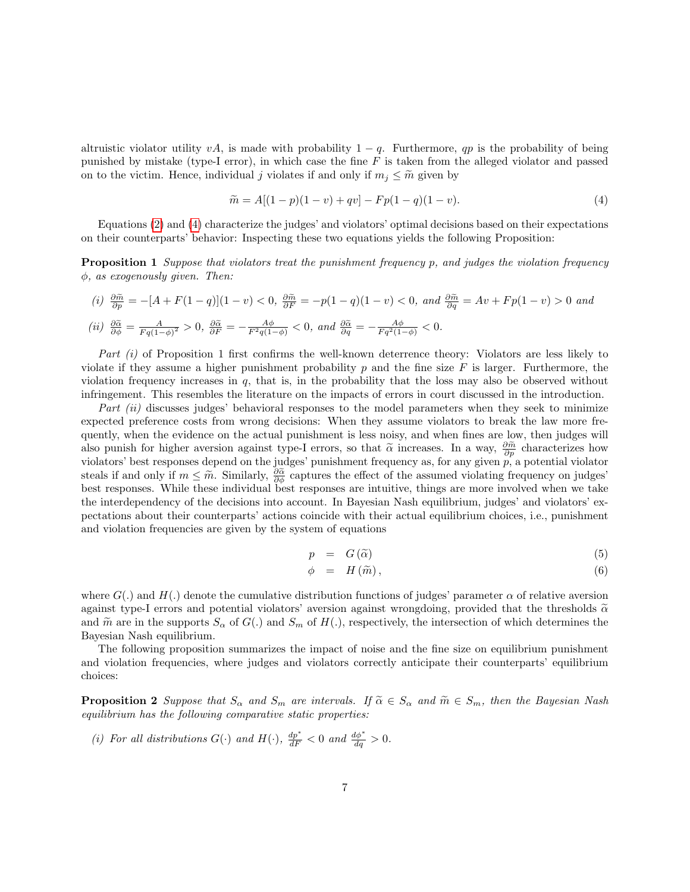altruistic violator utility vA, is made with probability  $1 - q$ . Furthermore, qp is the probability of being punished by mistake (type-I error), in which case the fine  $F$  is taken from the alleged violator and passed on to the victim. Hence, individual j violates if and only if  $m_j \leq \tilde{m}$  given by

<span id="page-8-0"></span>
$$
\widetilde{m} = A[(1-p)(1-v) + qv] - Fp(1-q)(1-v). \tag{4}
$$

Equations [\(2\)](#page-7-0) and [\(4\)](#page-8-0) characterize the judges' and violators' optimal decisions based on their expectations on their counterparts' behavior: Inspecting these two equations yields the following Proposition:

<span id="page-8-1"></span>Proposition 1 Suppose that violators treat the punishment frequency p, and judges the violation frequency  $\phi$ , as exogenously given. Then:

(i) 
$$
\frac{\partial \tilde{m}}{\partial p} = -[A + F(1 - q)](1 - v) < 0
$$
,  $\frac{\partial \tilde{m}}{\partial F} = -p(1 - q)(1 - v) < 0$ , and  $\frac{\partial \tilde{m}}{\partial q} = Av + Fp(1 - v) > 0$  and  
\n(ii)  $\frac{\partial \tilde{\alpha}}{\partial \phi} = \frac{A}{Fq(1 - \phi)^2} > 0$ ,  $\frac{\partial \tilde{\alpha}}{\partial F} = -\frac{A\phi}{F^2q(1 - \phi)} < 0$ , and  $\frac{\partial \tilde{\alpha}}{\partial q} = -\frac{A\phi}{Fq^2(1 - \phi)} < 0$ .

Part (i) of Proposition 1 first confirms the well-known deterrence theory: Violators are less likely to violate if they assume a higher punishment probability p and the fine size  $F$  is larger. Furthermore, the violation frequency increases in  $q$ , that is, in the probability that the loss may also be observed without infringement. This resembles the literature on the impacts of errors in court discussed in the introduction.

Part (ii) discusses judges' behavioral responses to the model parameters when they seek to minimize expected preference costs from wrong decisions: When they assume violators to break the law more frequently, when the evidence on the actual punishment is less noisy, and when fines are low, then judges will also punish for higher aversion against type-I errors, so that  $\tilde{\alpha}$  increases. In a way,  $\frac{\partial \tilde{m}}{\partial p}$  characterizes how violators' best responses depend on the judges' punishment frequency as, for any given  $p$ , a potential violator steals if and only if  $m \leq \tilde{m}$ . Similarly,  $\frac{\partial \tilde{\alpha}}{\partial \phi}$  captures the effect of the assumed violating frequency on judges' best responses. While these individual best responses are intuitive, things are more involved when we take the interdependency of the decisions into account. In Bayesian Nash equilibrium, judges' and violators' expectations about their counterparts' actions coincide with their actual equilibrium choices, i.e., punishment and violation frequencies are given by the system of equations

$$
p = G(\tilde{\alpha}) \tag{5}
$$

$$
\phi = H(\widetilde{m}), \tag{6}
$$

where  $G(.)$  and  $H(.)$  denote the cumulative distribution functions of judges' parameter  $\alpha$  of relative aversion against type-I errors and potential violators' aversion against wrongdoing, provided that the thresholds  $\tilde{\alpha}$ and  $\tilde{m}$  are in the supports  $S_{\alpha}$  of  $G(.)$  and  $S_{m}$  of  $H(.)$ , respectively, the intersection of which determines the Bayesian Nash equilibrium.

The following proposition summarizes the impact of noise and the fine size on equilibrium punishment and violation frequencies, where judges and violators correctly anticipate their counterparts' equilibrium choices:

<span id="page-8-2"></span>**Proposition 2** Suppose that  $S_{\alpha}$  and  $S_m$  are intervals. If  $\tilde{\alpha} \in S_{\alpha}$  and  $\tilde{m} \in S_m$ , then the Bayesian Nash equilibrium has the following comparative static properties:

(i) For all distributions  $G(\cdot)$  and  $H(\cdot)$ ,  $\frac{dp^*}{dF} < 0$  and  $\frac{d\phi^*}{dq} > 0$ .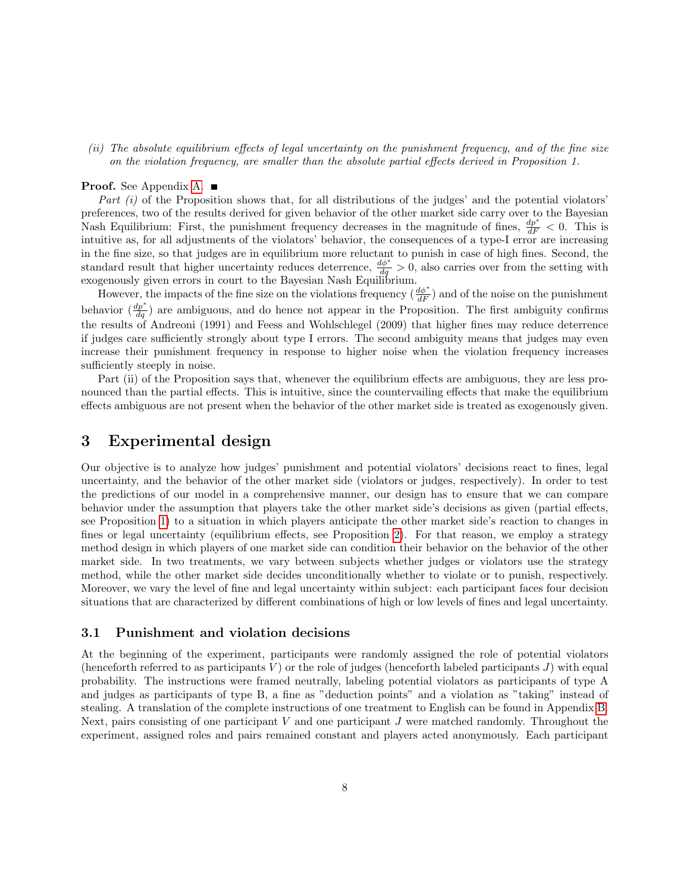(ii) The absolute equilibrium effects of legal uncertainty on the punishment frequency, and of the fine size on the violation frequency, are smaller than the absolute partial effects derived in Proposition 1.

#### **Proof.** See Appendix [A.](#page-23-0) ■

Part  $(i)$  of the Proposition shows that, for all distributions of the judges' and the potential violators' preferences, two of the results derived for given behavior of the other market side carry over to the Bayesian Nash Equilibrium: First, the punishment frequency decreases in the magnitude of fines,  $\frac{dp^*}{dF} < 0$ . This is intuitive as, for all adjustments of the violators' behavior, the consequences of a type-I error are increasing in the fine size, so that judges are in equilibrium more reluctant to punish in case of high fines. Second, the standard result that higher uncertainty reduces deterrence,  $\frac{d\phi^*}{dq} > 0$ , also carries over from the setting with exogenously given errors in court to the Bayesian Nash Equilibrium.

However, the impacts of the fine size on the violations frequency  $(\frac{d\phi^*}{dF})$  and of the noise on the punishment behavior  $(\frac{dp^*}{dq})$  are ambiguous, and do hence not appear in the Proposition. The first ambiguity confirms the results of Andreoni (1991) and Feess and Wohlschlegel (2009) that higher fines may reduce deterrence if judges care sufficiently strongly about type I errors. The second ambiguity means that judges may even increase their punishment frequency in response to higher noise when the violation frequency increases sufficiently steeply in noise.

Part (ii) of the Proposition says that, whenever the equilibrium effects are ambiguous, they are less pronounced than the partial effects. This is intuitive, since the countervailing effects that make the equilibrium effects ambiguous are not present when the behavior of the other market side is treated as exogenously given.

### <span id="page-9-0"></span>3 Experimental design

Our objective is to analyze how judges' punishment and potential violators' decisions react to fines, legal uncertainty, and the behavior of the other market side (violators or judges, respectively). In order to test the predictions of our model in a comprehensive manner, our design has to ensure that we can compare behavior under the assumption that players take the other market side's decisions as given (partial effects, see Proposition [1\)](#page-8-1) to a situation in which players anticipate the other market side's reaction to changes in fines or legal uncertainty (equilibrium effects, see Proposition [2\)](#page-8-2). For that reason, we employ a strategy method design in which players of one market side can condition their behavior on the behavior of the other market side. In two treatments, we vary between subjects whether judges or violators use the strategy method, while the other market side decides unconditionally whether to violate or to punish, respectively. Moreover, we vary the level of fine and legal uncertainty within subject: each participant faces four decision situations that are characterized by different combinations of high or low levels of fines and legal uncertainty.

#### 3.1 Punishment and violation decisions

At the beginning of the experiment, participants were randomly assigned the role of potential violators (henceforth referred to as participants  $V$ ) or the role of judges (henceforth labeled participants  $J$ ) with equal probability. The instructions were framed neutrally, labeling potential violators as participants of type A and judges as participants of type B, a fine as "deduction points" and a violation as "taking" instead of stealing. A translation of the complete instructions of one treatment to English can be found in Appendix [B.](#page-24-0) Next, pairs consisting of one participant  $V$  and one participant  $J$  were matched randomly. Throughout the experiment, assigned roles and pairs remained constant and players acted anonymously. Each participant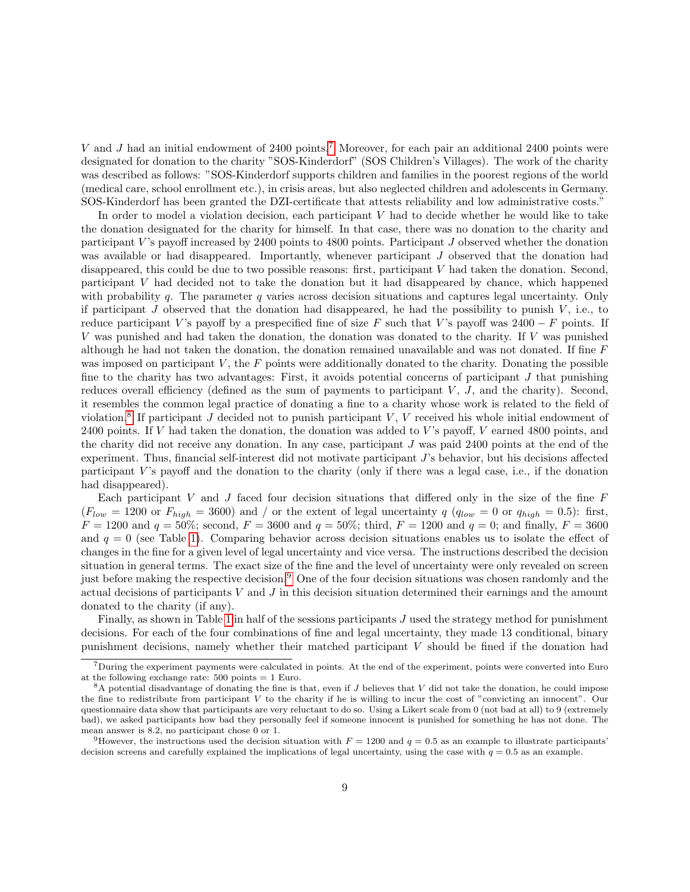V and J had an initial endowment of  $2400$  points.<sup>[7](#page-10-0)</sup> Moreover, for each pair an additional  $2400$  points were designated for donation to the charity "SOS-Kinderdorf" (SOS Children's Villages). The work of the charity was described as follows: "SOS-Kinderdorf supports children and families in the poorest regions of the world (medical care, school enrollment etc.), in crisis areas, but also neglected children and adolescents in Germany. SOS-Kinderdorf has been granted the DZI-certificate that attests reliability and low administrative costs."

In order to model a violation decision, each participant  $V$  had to decide whether he would like to take the donation designated for the charity for himself. In that case, there was no donation to the charity and participant  $V$ 's payoff increased by 2400 points to 4800 points. Participant  $J$  observed whether the donation was available or had disappeared. Importantly, whenever participant J observed that the donation had disappeared, this could be due to two possible reasons: first, participant V had taken the donation. Second, participant V had decided not to take the donation but it had disappeared by chance, which happened with probability q. The parameter q varies across decision situations and captures legal uncertainty. Only if participant  $J$  observed that the donation had disappeared, he had the possibility to punish  $V$ , i.e., to reduce participant V's payoff by a prespecified fine of size F such that V's payoff was  $2400 - F$  points. If V was punished and had taken the donation, the donation was donated to the charity. If V was punished although he had not taken the donation, the donation remained unavailable and was not donated. If fine F was imposed on participant  $V$ , the  $F$  points were additionally donated to the charity. Donating the possible fine to the charity has two advantages: First, it avoids potential concerns of participant  $J$  that punishing reduces overall efficiency (defined as the sum of payments to participant  $V, J$ , and the charity). Second, it resembles the common legal practice of donating a fine to a charity whose work is related to the field of violation.<sup>[8](#page-10-1)</sup> If participant J decided not to punish participant V, V received his whole initial endowment of 2400 points. If V had taken the donation, the donation was added to V's payoff, V earned 4800 points, and the charity did not receive any donation. In any case, participant J was paid 2400 points at the end of the experiment. Thus, financial self-interest did not motivate participant J's behavior, but his decisions affected participant  $V$ 's payoff and the donation to the charity (only if there was a legal case, i.e., if the donation had disappeared).

Each participant V and J faced four decision situations that differed only in the size of the fine  $F$  $(F_{low} = 1200 \text{ or } F_{high} = 3600)$  and / or the extent of legal uncertainty  $q$  ( $q_{low} = 0$  or  $q_{high} = 0.5$ ): first,  $F = 1200$  and  $q = 50\%$ ; second,  $F = 3600$  and  $q = 50\%$ ; third,  $F = 1200$  and  $q = 0$ ; and finally,  $F = 3600$ and  $q = 0$  (see Table [1\)](#page-11-0). Comparing behavior across decision situations enables us to isolate the effect of changes in the fine for a given level of legal uncertainty and vice versa. The instructions described the decision situation in general terms. The exact size of the fine and the level of uncertainty were only revealed on screen just before making the respective decision.[9](#page-10-2) One of the four decision situations was chosen randomly and the actual decisions of participants  $V$  and  $J$  in this decision situation determined their earnings and the amount donated to the charity (if any).

Finally, as shown in Table [1](#page-11-0) in half of the sessions participants  $J$  used the strategy method for punishment decisions. For each of the four combinations of fine and legal uncertainty, they made 13 conditional, binary punishment decisions, namely whether their matched participant V should be fined if the donation had

<span id="page-10-0"></span> $7$ During the experiment payments were calculated in points. At the end of the experiment, points were converted into Euro at the following exchange rate:  $500 \text{ points} = 1 \text{ Euro.}$ 

<span id="page-10-1"></span> $8A$  potential disadvantage of donating the fine is that, even if J believes that V did not take the donation, he could impose the fine to redistribute from participant  $V$  to the charity if he is willing to incur the cost of "convicting an innocent". Our questionnaire data show that participants are very reluctant to do so. Using a Likert scale from 0 (not bad at all) to 9 (extremely bad), we asked participants how bad they personally feel if someone innocent is punished for something he has not done. The mean answer is 8.2, no participant chose 0 or 1.

<span id="page-10-2"></span><sup>&</sup>lt;sup>9</sup>However, the instructions used the decision situation with  $F = 1200$  and  $q = 0.5$  as an example to illustrate participants' decision screens and carefully explained the implications of legal uncertainty, using the case with  $q = 0.5$  as an example.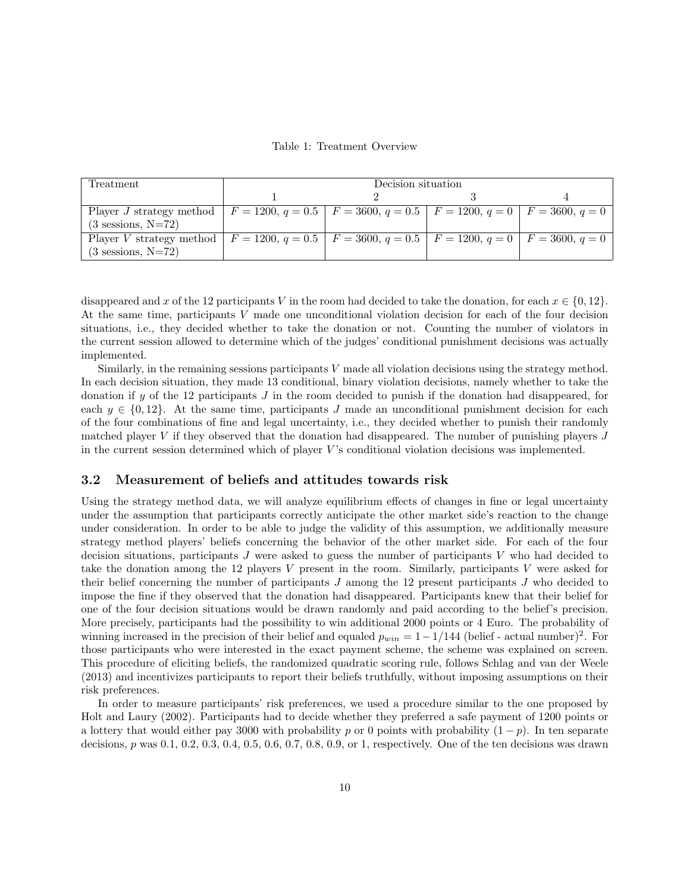Table 1: Treatment Overview

<span id="page-11-0"></span>

| Treatment                                                                                                                | Decision situation |  |  |  |  |  |  |
|--------------------------------------------------------------------------------------------------------------------------|--------------------|--|--|--|--|--|--|
|                                                                                                                          |                    |  |  |  |  |  |  |
| Player J strategy method   $F = 1200$ , $q = 0.5$   $F = 3600$ , $q = 0.5$   $F = 1200$ , $q = 0$   $F = 3600$ , $q = 0$ |                    |  |  |  |  |  |  |
| $(3$ sessions, N=72)                                                                                                     |                    |  |  |  |  |  |  |
| Player V strategy method   $F = 1200$ , $q = 0.5$   $F = 3600$ , $q = 0.5$   $F = 1200$ , $q = 0$   $F = 3600$ , $q = 0$ |                    |  |  |  |  |  |  |
| $(3$ sessions, N=72)                                                                                                     |                    |  |  |  |  |  |  |

disappeared and x of the 12 participants V in the room had decided to take the donation, for each  $x \in \{0, 12\}$ . At the same time, participants V made one unconditional violation decision for each of the four decision situations, i.e., they decided whether to take the donation or not. Counting the number of violators in the current session allowed to determine which of the judges' conditional punishment decisions was actually implemented.

Similarly, in the remaining sessions participants V made all violation decisions using the strategy method. In each decision situation, they made 13 conditional, binary violation decisions, namely whether to take the donation if y of the 12 participants J in the room decided to punish if the donation had disappeared, for each  $y \in \{0, 12\}$ . At the same time, participants J made an unconditional punishment decision for each of the four combinations of fine and legal uncertainty, i.e., they decided whether to punish their randomly matched player V if they observed that the donation had disappeared. The number of punishing players J in the current session determined which of player  $V$ 's conditional violation decisions was implemented.

#### 3.2 Measurement of beliefs and attitudes towards risk

Using the strategy method data, we will analyze equilibrium effects of changes in fine or legal uncertainty under the assumption that participants correctly anticipate the other market side's reaction to the change under consideration. In order to be able to judge the validity of this assumption, we additionally measure strategy method players' beliefs concerning the behavior of the other market side. For each of the four decision situations, participants J were asked to guess the number of participants V who had decided to take the donation among the 12 players V present in the room. Similarly, participants V were asked for their belief concerning the number of participants J among the 12 present participants J who decided to impose the fine if they observed that the donation had disappeared. Participants knew that their belief for one of the four decision situations would be drawn randomly and paid according to the belief's precision. More precisely, participants had the possibility to win additional 2000 points or 4 Euro. The probability of winning increased in the precision of their belief and equaled  $p_{win} = 1 - 1/144$  (belief - actual number)<sup>2</sup>. For those participants who were interested in the exact payment scheme, the scheme was explained on screen. This procedure of eliciting beliefs, the randomized quadratic scoring rule, follows Schlag and van der Weele (2013) and incentivizes participants to report their beliefs truthfully, without imposing assumptions on their risk preferences.

In order to measure participants' risk preferences, we used a procedure similar to the one proposed by Holt and Laury (2002). Participants had to decide whether they preferred a safe payment of 1200 points or a lottery that would either pay 3000 with probability p or 0 points with probability  $(1-p)$ . In ten separate decisions, p was 0.1, 0.2, 0.3, 0.4, 0.5, 0.6, 0.7, 0.8, 0.9, or 1, respectively. One of the ten decisions was drawn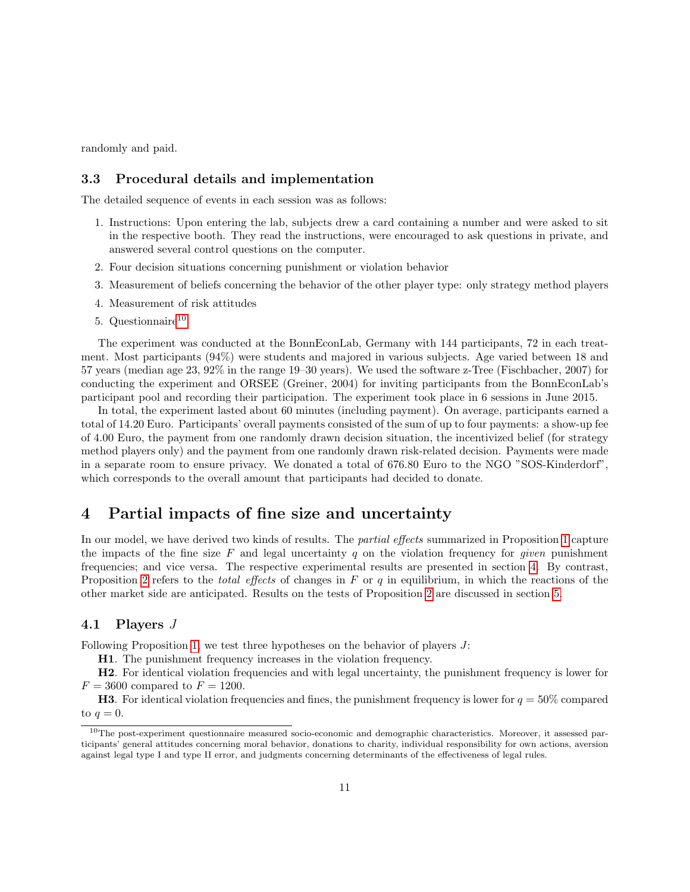randomly and paid.

#### 3.3 Procedural details and implementation

The detailed sequence of events in each session was as follows:

- 1. Instructions: Upon entering the lab, subjects drew a card containing a number and were asked to sit in the respective booth. They read the instructions, were encouraged to ask questions in private, and answered several control questions on the computer.
- 2. Four decision situations concerning punishment or violation behavior
- 3. Measurement of beliefs concerning the behavior of the other player type: only strategy method players
- 4. Measurement of risk attitudes
- 5. Questionnaire<sup>[10](#page-12-1)</sup>

The experiment was conducted at the BonnEconLab, Germany with 144 participants, 72 in each treatment. Most participants (94%) were students and majored in various subjects. Age varied between 18 and 57 years (median age 23, 92% in the range 19–30 years). We used the software z-Tree (Fischbacher, 2007) for conducting the experiment and ORSEE (Greiner, 2004) for inviting participants from the BonnEconLab's participant pool and recording their participation. The experiment took place in 6 sessions in June 2015.

In total, the experiment lasted about 60 minutes (including payment). On average, participants earned a total of 14.20 Euro. Participants' overall payments consisted of the sum of up to four payments: a show-up fee of 4.00 Euro, the payment from one randomly drawn decision situation, the incentivized belief (for strategy method players only) and the payment from one randomly drawn risk-related decision. Payments were made in a separate room to ensure privacy. We donated a total of 676.80 Euro to the NGO "SOS-Kinderdorf", which corresponds to the overall amount that participants had decided to donate.

### <span id="page-12-0"></span>4 Partial impacts of fine size and uncertainty

In our model, we have derived two kinds of results. The *partial effects* summarized in Proposition [1](#page-8-1) capture the impacts of the fine size F and legal uncertainty q on the violation frequency for given punishment frequencies; and vice versa. The respective experimental results are presented in section [4.](#page-12-0) By contrast, Proposition [2](#page-8-2) refers to the *total effects* of changes in  $F$  or  $q$  in equilibrium, in which the reactions of the other market side are anticipated. Results on the tests of Proposition [2](#page-8-2) are discussed in section [5.](#page-15-0)

#### 4.1 Players J

Following Proposition [1,](#page-8-1) we test three hypotheses on the behavior of players J:

H1. The punishment frequency increases in the violation frequency.

H2. For identical violation frequencies and with legal uncertainty, the punishment frequency is lower for  $F = 3600$  compared to  $F = 1200$ .

**H3**. For identical violation frequencies and fines, the punishment frequency is lower for  $q = 50\%$  compared to  $q=0$ .

<span id="page-12-1"></span> $10$ The post-experiment questionnaire measured socio-economic and demographic characteristics. Moreover, it assessed participants' general attitudes concerning moral behavior, donations to charity, individual responsibility for own actions, aversion against legal type I and type II error, and judgments concerning determinants of the effectiveness of legal rules.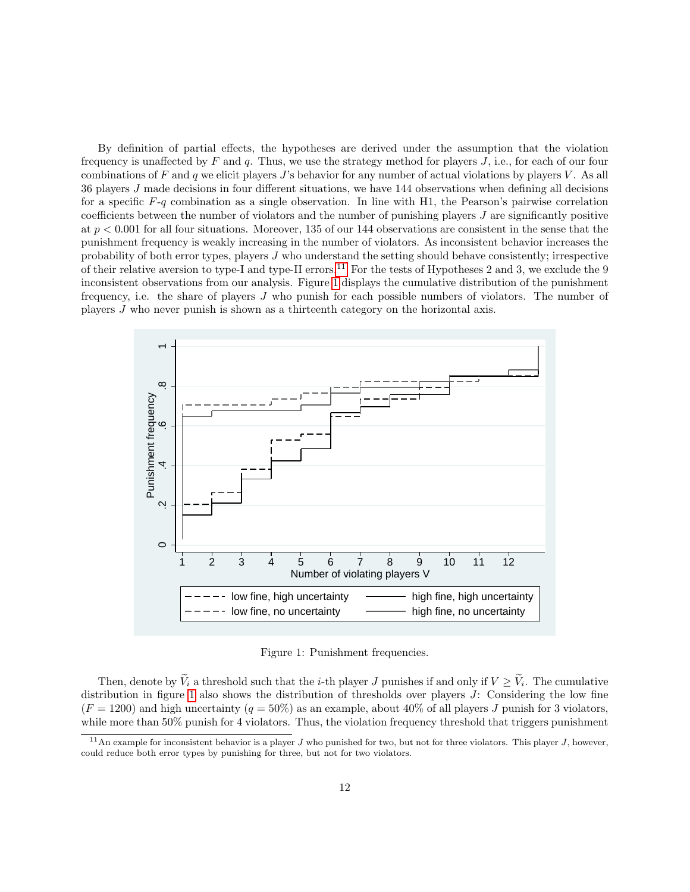By definition of partial effects, the hypotheses are derived under the assumption that the violation frequency is unaffected by  $F$  and  $q$ . Thus, we use the strategy method for players  $J$ , i.e., for each of our four combinations of F and q we elicit players J's behavior for any number of actual violations by players V. As all 36 players J made decisions in four different situations, we have 144 observations when defining all decisions for a specific  $F-q$  combination as a single observation. In line with H1, the Pearson's pairwise correlation coefficients between the number of violators and the number of punishing players  $J$  are significantly positive at  $p < 0.001$  for all four situations. Moreover, 135 of our 144 observations are consistent in the sense that the punishment frequency is weakly increasing in the number of violators. As inconsistent behavior increases the probability of both error types, players J who understand the setting should behave consistently; irrespective of their relative aversion to type-I and type-II errors.<sup>[11](#page-13-0)</sup> For the tests of Hypotheses 2 and 3, we exclude the 9 inconsistent observations from our analysis. Figure [1](#page-13-1) displays the cumulative distribution of the punishment frequency, i.e. the share of players J who punish for each possible numbers of violators. The number of players J who never punish is shown as a thirteenth category on the horizontal axis.

<span id="page-13-1"></span>

Figure 1: Punishment frequencies.

Then, denote by  $V_i$  a threshold such that the *i*-th player J punishes if and only if  $V \geq V_i$ . The cumulative distribution in figure [1](#page-13-1) also shows the distribution of thresholds over players  $J$ : Considering the low fine  $(F = 1200)$  and high uncertainty  $(q = 50\%)$  as an example, about 40% of all players J punish for 3 violators. while more than 50% punish for 4 violators. Thus, the violation frequency threshold that triggers punishment

<span id="page-13-0"></span> $11$ An example for inconsistent behavior is a player J who punished for two, but not for three violators. This player J, however, could reduce both error types by punishing for three, but not for two violators.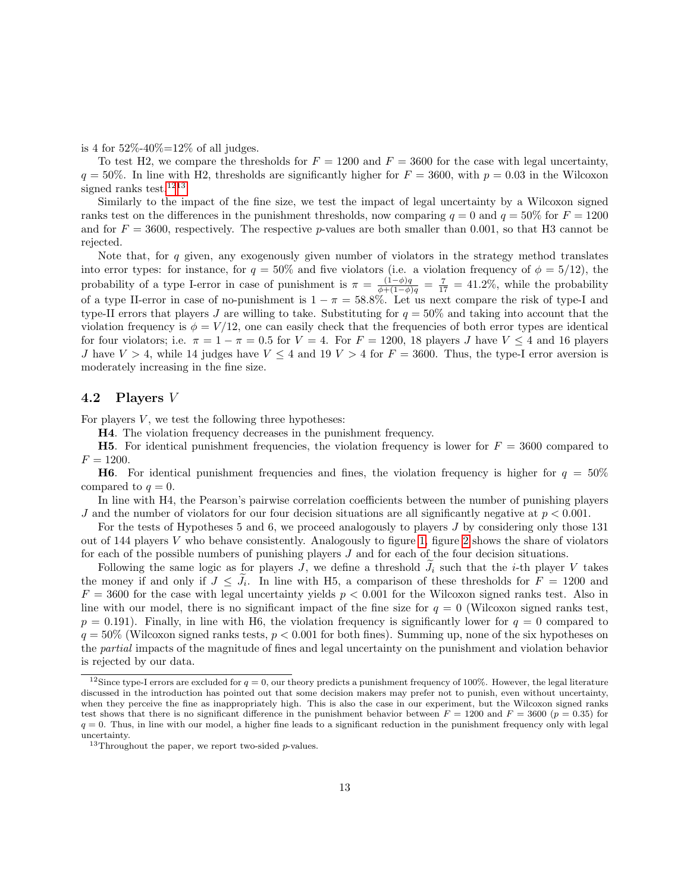is 4 for  $52\% - 40\% = 12\%$  of all judges.

To test H2, we compare the thresholds for  $F = 1200$  and  $F = 3600$  for the case with legal uncertainty,  $q = 50\%$ . In line with H2, thresholds are significantly higher for  $F = 3600$ , with  $p = 0.03$  in the Wilcoxon signed ranks test.<sup>[12](#page-14-0)[13](#page-14-1)</sup>

Similarly to the impact of the fine size, we test the impact of legal uncertainty by a Wilcoxon signed ranks test on the differences in the punishment thresholds, now comparing  $q = 0$  and  $q = 50\%$  for  $F = 1200$ and for  $F = 3600$ , respectively. The respective p-values are both smaller than 0.001, so that H3 cannot be rejected.

Note that, for q given, any exogenously given number of violators in the strategy method translates into error types: for instance, for  $q = 50\%$  and five violators (i.e. a violation frequency of  $\phi = 5/12$ ), the probability of a type I-error in case of punishment is  $\pi = \frac{(1-\phi)q}{\phi+(1-\phi)q} = \frac{7}{17} = 41.2\%$ , while the probability of a type II-error in case of no-punishment is  $1 - \pi = 58.8\%$ . Let us next compare the risk of type-I and type-II errors that players J are willing to take. Substituting for  $q = 50\%$  and taking into account that the violation frequency is  $\phi = V/12$ , one can easily check that the frequencies of both error types are identical for four violators; i.e.  $\pi = 1 - \pi = 0.5$  for  $V = 4$ . For  $F = 1200$ , 18 players J have  $V \le 4$  and 16 players J have  $V > 4$ , while 14 judges have  $V \le 4$  and 19  $V > 4$  for  $F = 3600$ . Thus, the type-I error aversion is moderately increasing in the fine size.

#### 4.2 Players V

For players  $V$ , we test the following three hypotheses:

H4. The violation frequency decreases in the punishment frequency.

**H5.** For identical punishment frequencies, the violation frequency is lower for  $F = 3600$  compared to  $F = 1200.$ 

**H6.** For identical punishment frequencies and fines, the violation frequency is higher for  $q = 50\%$ compared to  $q=0$ .

In line with H4, the Pearson's pairwise correlation coefficients between the number of punishing players J and the number of violators for our four decision situations are all significantly negative at  $p < 0.001$ .

For the tests of Hypotheses 5 and 6, we proceed analogously to players J by considering only those 131 out of 144 players V who behave consistently. Analogously to figure [1,](#page-13-1) figure [2](#page-15-1) shows the share of violators for each of the possible numbers of punishing players J and for each of the four decision situations.

Following the same logic as for players J, we define a threshold  $J_i$  such that the *i*-th player V takes the money if and only if  $J \leq J_i$ . In line with H5, a comparison of these thresholds for  $F = 1200$  and  $F = 3600$  for the case with legal uncertainty yields  $p < 0.001$  for the Wilcoxon signed ranks test. Also in line with our model, there is no significant impact of the fine size for  $q = 0$  (Wilcoxon signed ranks test,  $p = 0.191$ . Finally, in line with H6, the violation frequency is significantly lower for  $q = 0$  compared to  $q = 50\%$  (Wilcoxon signed ranks tests,  $p < 0.001$  for both fines). Summing up, none of the six hypotheses on the partial impacts of the magnitude of fines and legal uncertainty on the punishment and violation behavior is rejected by our data.

<span id="page-14-0"></span><sup>&</sup>lt;sup>12</sup>Since type-I errors are excluded for  $q = 0$ , our theory predicts a punishment frequency of 100%. However, the legal literature discussed in the introduction has pointed out that some decision makers may prefer not to punish, even without uncertainty, when they perceive the fine as inappropriately high. This is also the case in our experiment, but the Wilcoxon signed ranks test shows that there is no significant difference in the punishment behavior between  $F = 1200$  and  $F = 3600$  ( $p = 0.35$ ) for  $q = 0$ . Thus, in line with our model, a higher fine leads to a significant reduction in the punishment frequency only with legal uncertainty.

<span id="page-14-1"></span> $13$ Throughout the paper, we report two-sided p-values.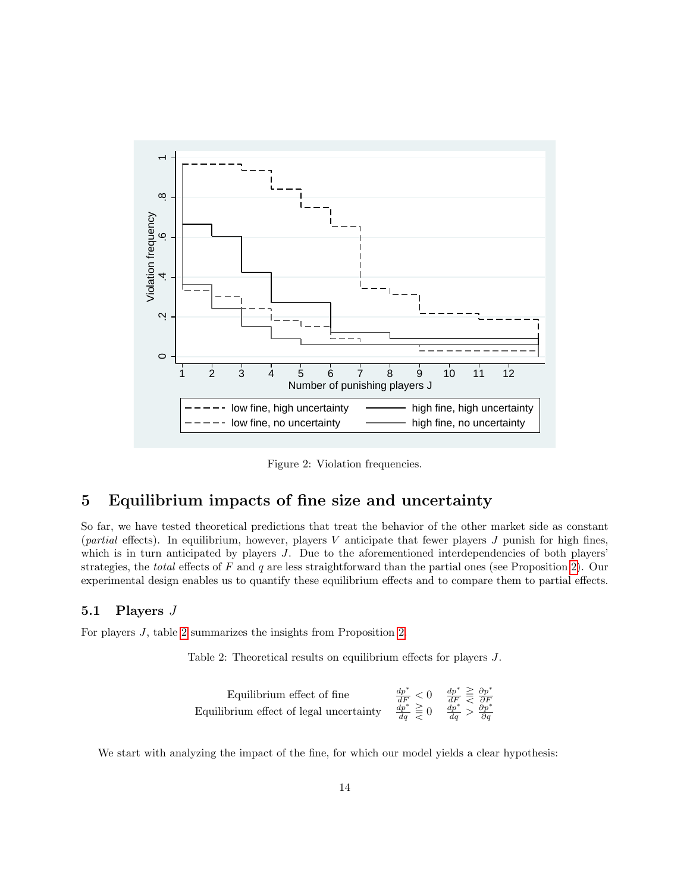<span id="page-15-1"></span>

Figure 2: Violation frequencies.

## <span id="page-15-0"></span>5 Equilibrium impacts of fine size and uncertainty

So far, we have tested theoretical predictions that treat the behavior of the other market side as constant (*partial* effects). In equilibrium, however, players V anticipate that fewer players J punish for high fines, which is in turn anticipated by players J. Due to the aforementioned interdependencies of both players' strategies, the *total* effects of  $F$  and  $q$  are less straightforward than the partial ones (see Proposition [2\)](#page-8-2). Our experimental design enables us to quantify these equilibrium effects and to compare them to partial effects.

#### 5.1 Players J

<span id="page-15-2"></span>For players J, table [2](#page-15-2) summarizes the insights from Proposition [2.](#page-8-2)

Table 2: Theoretical results on equilibrium effects for players J.

Equilibrium effect of fine  
Equilibrium effect of legal uncertainty 
$$
\frac{dp^*}{dr^*} \geq 0
$$
  $\frac{dp^*}{dF} \geq \frac{\partial p^*}{\partial F}$   
Equilibrium effect of legal uncertainty  $\frac{dp^*}{dq} \geq 0$   $\frac{dp^*}{dq} > \frac{\partial p^*}{\partial q}$ 

We start with analyzing the impact of the fine, for which our model yields a clear hypothesis: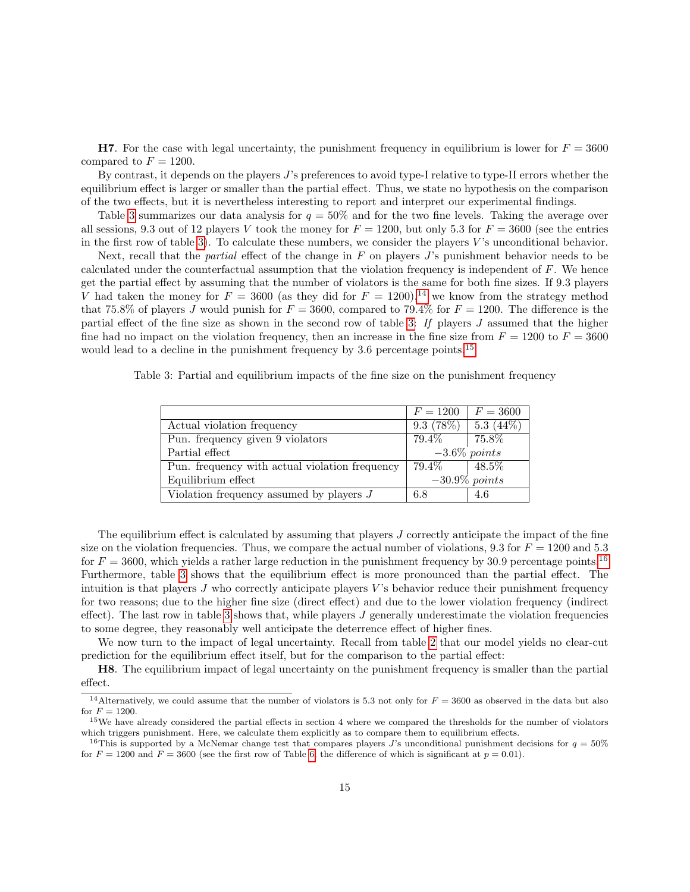**H7.** For the case with legal uncertainty, the punishment frequency in equilibrium is lower for  $F = 3600$ compared to  $F = 1200$ .

By contrast, it depends on the players J's preferences to avoid type-I relative to type-II errors whether the equilibrium effect is larger or smaller than the partial effect. Thus, we state no hypothesis on the comparison of the two effects, but it is nevertheless interesting to report and interpret our experimental findings.

Table [3](#page-16-0) summarizes our data analysis for  $q = 50\%$  and for the two fine levels. Taking the average over all sessions, 9.3 out of 12 players V took the money for  $F = 1200$ , but only 5.3 for  $F = 3600$  (see the entries in the first row of table [3\)](#page-16-0). To calculate these numbers, we consider the players V 's unconditional behavior.

Next, recall that the *partial* effect of the change in  $F$  on players  $J$ 's punishment behavior needs to be calculated under the counterfactual assumption that the violation frequency is independent of F. We hence get the partial effect by assuming that the number of violators is the same for both fine sizes. If 9.3 players V had taken the money for  $F = 3600$  (as they did for  $F = 1200$ ),<sup>[14](#page-16-1)</sup> we know from the strategy method that 75.8% of players J would punish for  $F = 3600$ , compared to 79.4% for  $F = 1200$ . The difference is the partial effect of the fine size as shown in the second row of table [3:](#page-16-0) If players J assumed that the higher fine had no impact on the violation frequency, then an increase in the fine size from  $F = 1200$  to  $F = 3600$ would lead to a decline in the punishment frequency by 3.6 percentage points.<sup>[15](#page-16-2)</sup>

<span id="page-16-0"></span>Table 3: Partial and equilibrium impacts of the fine size on the punishment frequency

|                                                | $F = 1200$      | $F = 3600$             |
|------------------------------------------------|-----------------|------------------------|
| Actual violation frequency                     | 9.3(78%)        | $5.\overline{3(44\%)}$ |
| Pun. frequency given 9 violators               | $79.4\%$        | $75.8\%$               |
| Partial effect                                 | $-3.6\%$ points |                        |
| Pun. frequency with actual violation frequency | $79.4\%$        | $48.5\%$               |
| Equilibrium effect                             |                 | $-30.9\%$ points       |
| Violation frequency assumed by players $J$     | 6.8             | 4.6                    |

The equilibrium effect is calculated by assuming that players J correctly anticipate the impact of the fine size on the violation frequencies. Thus, we compare the actual number of violations, 9.3 for  $F = 1200$  and 5.3 for  $F = 3600$ , which yields a rather large reduction in the punishment frequency by 30.9 percentage points.<sup>[16](#page-16-3)</sup> Furthermore, table [3](#page-16-0) shows that the equilibrium effect is more pronounced than the partial effect. The intuition is that players  $J$  who correctly anticipate players  $V$ 's behavior reduce their punishment frequency for two reasons; due to the higher fine size (direct effect) and due to the lower violation frequency (indirect effect). The last row in table [3](#page-16-0) shows that, while players  $J$  generally underestimate the violation frequencies to some degree, they reasonably well anticipate the deterrence effect of higher fines.

We now turn to the impact of legal uncertainty. Recall from table [2](#page-15-2) that our model yields no clear-cut prediction for the equilibrium effect itself, but for the comparison to the partial effect:

H8. The equilibrium impact of legal uncertainty on the punishment frequency is smaller than the partial effect.

<span id="page-16-1"></span><sup>&</sup>lt;sup>14</sup>Alternatively, we could assume that the number of violators is 5.3 not only for  $F = 3600$  as observed in the data but also for  $F = 1200$ .

<span id="page-16-2"></span> $15$ We have already considered the partial effects in section 4 where we compared the thresholds for the number of violators which triggers punishment. Here, we calculate them explicitly as to compare them to equilibrium effects.

<span id="page-16-3"></span><sup>&</sup>lt;sup>16</sup>This is supported by a McNemar change test that compares players J's unconditional punishment decisions for  $q = 50\%$ for  $F = 1200$  and  $F = 3600$  (see the first row of Table [6,](#page-18-0) the difference of which is significant at  $p = 0.01$ ).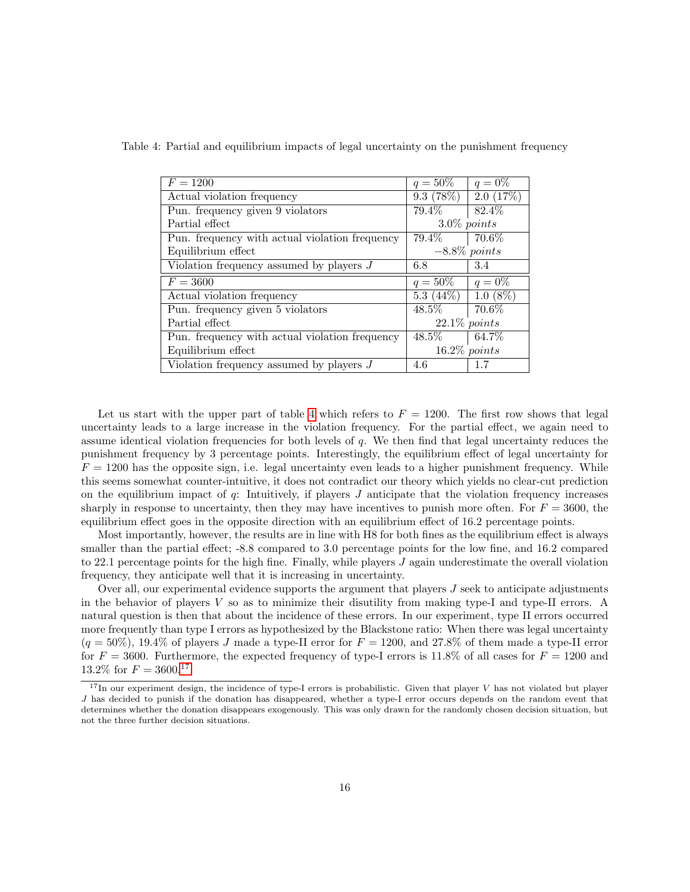| $F = 1200$                                     | $q = 50\%$     | $q = 0\%$       |  |
|------------------------------------------------|----------------|-----------------|--|
| Actual violation frequency                     | 9.3(78%)       | 2.0(17%)        |  |
| Pun. frequency given 9 violators               | 79.4%          | 82.4%           |  |
| Partial effect                                 | $3.0\%$ points |                 |  |
| Pun. frequency with actual violation frequency | $79.4\%$       | $70.6\%$        |  |
| Equilibrium effect                             |                | $-8.8\%$ points |  |
| Violation frequency assumed by players $J$     | 6.8            | 3.4             |  |
| $F = 3600$                                     | $q = 50\%$     | $q = 0\%$       |  |
| Actual violation frequency                     | 5.3 $(44\%)$   | $1.0(8\%)$      |  |
| Pun. frequency given 5 violators               | $48.5\%$       | 70.6%           |  |
| Partial effect                                 |                | $22.1\%$ points |  |
| Pun. frequency with actual violation frequency | 48.5%          | 64.7%           |  |
| Equilibrium effect                             |                | $16.2\%$ points |  |
| Violation frequency assumed by players $J$     | 4.6            | 1.7             |  |

<span id="page-17-0"></span>Table 4: Partial and equilibrium impacts of legal uncertainty on the punishment frequency

Let us start with the upper part of table [4](#page-17-0) which refers to  $F = 1200$ . The first row shows that legal uncertainty leads to a large increase in the violation frequency. For the partial effect, we again need to assume identical violation frequencies for both levels of q. We then find that legal uncertainty reduces the punishment frequency by 3 percentage points. Interestingly, the equilibrium effect of legal uncertainty for  $F = 1200$  has the opposite sign, i.e. legal uncertainty even leads to a higher punishment frequency. While this seems somewhat counter-intuitive, it does not contradict our theory which yields no clear-cut prediction on the equilibrium impact of  $q$ : Intuitively, if players  $J$  anticipate that the violation frequency increases sharply in response to uncertainty, then they may have incentives to punish more often. For  $F = 3600$ , the equilibrium effect goes in the opposite direction with an equilibrium effect of 16.2 percentage points.

Most importantly, however, the results are in line with H8 for both fines as the equilibrium effect is always smaller than the partial effect; -8.8 compared to 3.0 percentage points for the low fine, and 16.2 compared to 22.1 percentage points for the high fine. Finally, while players J again underestimate the overall violation frequency, they anticipate well that it is increasing in uncertainty.

Over all, our experimental evidence supports the argument that players  $J$  seek to anticipate adjustments in the behavior of players V so as to minimize their disutility from making type-I and type-II errors. A natural question is then that about the incidence of these errors. In our experiment, type II errors occurred more frequently than type I errors as hypothesized by the Blackstone ratio: When there was legal uncertainty  $(q = 50\%)$ , 19.4% of players J made a type-II error for  $F = 1200$ , and 27.8% of them made a type-II error for  $F = 3600$ . Furthermore, the expected frequency of type-I errors is 11.8% of all cases for  $F = 1200$  and 13.2\% for  $F = 3600$ .<sup>[17](#page-17-1)</sup>

<span id="page-17-1"></span> $17$ In our experiment design, the incidence of type-I errors is probabilistic. Given that player V has not violated but player J has decided to punish if the donation has disappeared, whether a type-I error occurs depends on the random event that determines whether the donation disappears exogenously. This was only drawn for the randomly chosen decision situation, but not the three further decision situations.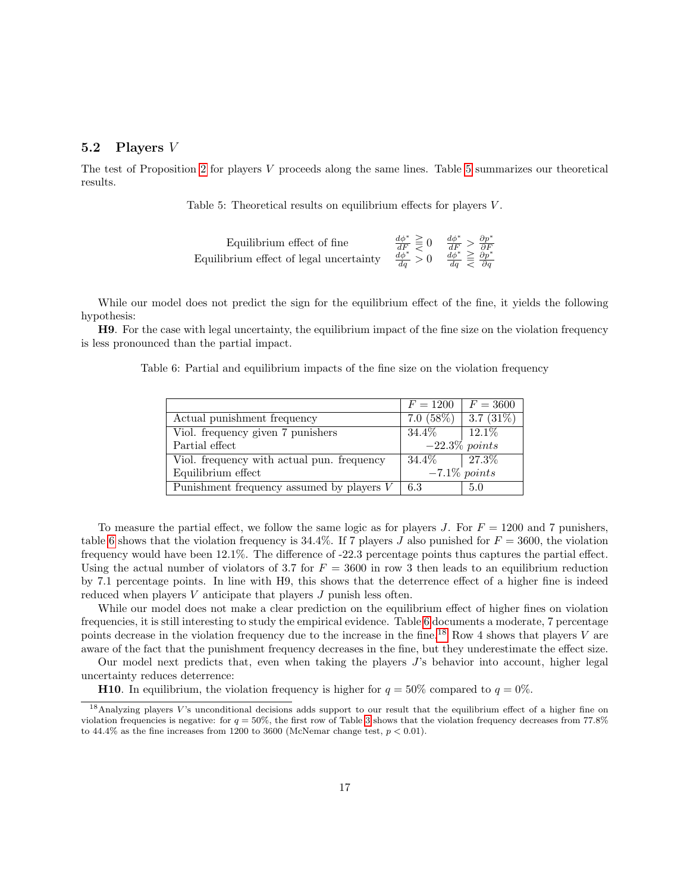#### 5.2 Players V

<span id="page-18-1"></span>The test of Proposition [2](#page-8-2) for players V proceeds along the same lines. Table [5](#page-18-1) summarizes our theoretical results.

Table 5: Theoretical results on equilibrium effects for players V.

| Equilibrium effect of fine              | $\frac{d\phi^*}{dF} \geq 0$ $\frac{d\phi^*}{dF} > \frac{\partial p^*}{\partial F}$ |                                                     |  |
|-----------------------------------------|------------------------------------------------------------------------------------|-----------------------------------------------------|--|
| Equilibrium effect of legal uncertainty | $\frac{d\phi^*}{dq} > 0$                                                           | $rac{d\phi^*}{dq} \geq \frac{\delta p^*}{\delta q}$ |  |

While our model does not predict the sign for the equilibrium effect of the fine, it yields the following hypothesis:

<span id="page-18-0"></span>H9. For the case with legal uncertainty, the equilibrium impact of the fine size on the violation frequency is less pronounced than the partial impact.

Table 6: Partial and equilibrium impacts of the fine size on the violation frequency

|                                             | $F = 1200$             | $F = 3600$ |
|---------------------------------------------|------------------------|------------|
| Actual punishment frequency                 | $7.0(58\%)$ 3.7 (31\%) |            |
| Viol. frequency given 7 punishers           | $34.4\%$               | $12.1\%$   |
| Partial effect                              | $-22.3\%$ points       |            |
| Viol. frequency with actual pun. frequency  | $34.4\%$   27.3\%      |            |
| Equilibrium effect                          | $-7.1\%$ points        |            |
| Punishment frequency assumed by players $V$ | 6.3                    | 5.0        |

To measure the partial effect, we follow the same logic as for players J. For  $F = 1200$  and 7 punishers, table [6](#page-18-0) shows that the violation frequency is 34.4%. If 7 players J also punished for  $F = 3600$ , the violation frequency would have been 12.1%. The difference of -22.3 percentage points thus captures the partial effect. Using the actual number of violators of 3.7 for  $F = 3600$  in row 3 then leads to an equilibrium reduction by 7.1 percentage points. In line with H9, this shows that the deterrence effect of a higher fine is indeed reduced when players V anticipate that players J punish less often.

While our model does not make a clear prediction on the equilibrium effect of higher fines on violation frequencies, it is still interesting to study the empirical evidence. Table [6](#page-18-0) documents a moderate, 7 percentage points decrease in the violation frequency due to the increase in the fine.<sup>[18](#page-18-2)</sup> Row 4 shows that players  $V$  are aware of the fact that the punishment frequency decreases in the fine, but they underestimate the effect size.

Our model next predicts that, even when taking the players  $J$ 's behavior into account, higher legal uncertainty reduces deterrence:

**H10**. In equilibrium, the violation frequency is higher for  $q = 50\%$  compared to  $q = 0\%$ .

<span id="page-18-2"></span><sup>&</sup>lt;sup>18</sup>Analyzing players V's unconditional decisions adds support to our result that the equilibrium effect of a higher fine on violation frequencies is negative: for  $q = 50\%$ , the first row of Table [3](#page-16-0) shows that the violation frequency decreases from 77.8% to 44.4% as the fine increases from 1200 to 3600 (McNemar change test,  $p < 0.01$ ).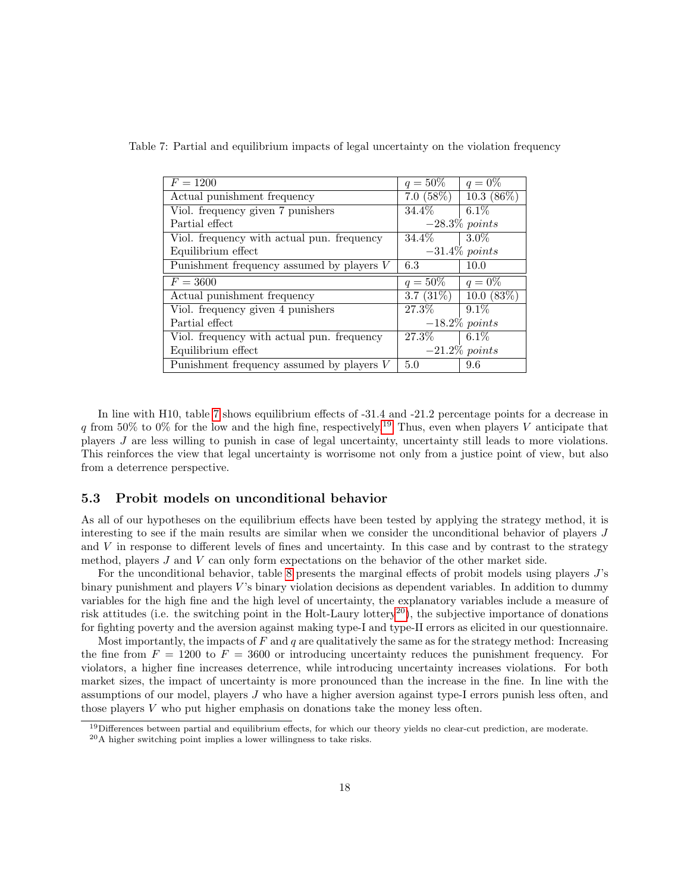| $F = 1200$                                 | $q = 50\%$       | $q = 0\%$        |  |
|--------------------------------------------|------------------|------------------|--|
| Actual punishment frequency                | 7.0 $(58\%)$     | $10.3(86\%)$     |  |
| Viol. frequency given 7 punishers          | $34.4\%$         | $6.1\%$          |  |
| Partial effect                             | $-28.3\%$ points |                  |  |
| Viol. frequency with actual pun. frequency | $34.4\%$         | $3.0\%$          |  |
| Equilibrium effect                         |                  | $-31.4\%$ points |  |
| Punishment frequency assumed by players V  | 6.3              | 10.0             |  |
|                                            |                  |                  |  |
| $F = 3600$                                 | $q = 50\%$       | $q = 0\%$        |  |
| Actual punishment frequency                | 3.7 $(31\%)$     | 10.0(83%)        |  |
| Viol. frequency given 4 punishers          | 27.3%            | $9.1\%$          |  |
| Partial effect                             |                  | $-18.2\%$ points |  |
| Viol. frequency with actual pun. frequency | $27.3\%$         | $6.1\%$          |  |
| Equilibrium effect                         |                  | $-21.2\%$ points |  |

<span id="page-19-0"></span>Table 7: Partial and equilibrium impacts of legal uncertainty on the violation frequency

In line with H10, table [7](#page-19-0) shows equilibrium effects of -31.4 and -21.2 percentage points for a decrease in q from 50% to 0% for the low and the high fine, respectively.<sup>[19](#page-19-1)</sup> Thus, even when players V anticipate that players J are less willing to punish in case of legal uncertainty, uncertainty still leads to more violations. This reinforces the view that legal uncertainty is worrisome not only from a justice point of view, but also from a deterrence perspective.

#### 5.3 Probit models on unconditional behavior

As all of our hypotheses on the equilibrium effects have been tested by applying the strategy method, it is interesting to see if the main results are similar when we consider the unconditional behavior of players J and V in response to different levels of fines and uncertainty. In this case and by contrast to the strategy method, players J and V can only form expectations on the behavior of the other market side.

For the unconditional behavior, table [8](#page-20-1) presents the marginal effects of probit models using players J's binary punishment and players  $V$ 's binary violation decisions as dependent variables. In addition to dummy variables for the high fine and the high level of uncertainty, the explanatory variables include a measure of risk attitudes (i.e. the switching point in the Holt-Laury lottery<sup>[20](#page-19-2)</sup>), the subjective importance of donations for fighting poverty and the aversion against making type-I and type-II errors as elicited in our questionnaire.

Most importantly, the impacts of  $F$  and  $q$  are qualitatively the same as for the strategy method: Increasing the fine from  $F = 1200$  to  $F = 3600$  or introducing uncertainty reduces the punishment frequency. For violators, a higher fine increases deterrence, while introducing uncertainty increases violations. For both market sizes, the impact of uncertainty is more pronounced than the increase in the fine. In line with the assumptions of our model, players J who have a higher aversion against type-I errors punish less often, and those players V who put higher emphasis on donations take the money less often.

<span id="page-19-1"></span><sup>&</sup>lt;sup>19</sup>Differences between partial and equilibrium effects, for which our theory yields no clear-cut prediction, are moderate.

<span id="page-19-2"></span> $20A$  higher switching point implies a lower willingness to take risks.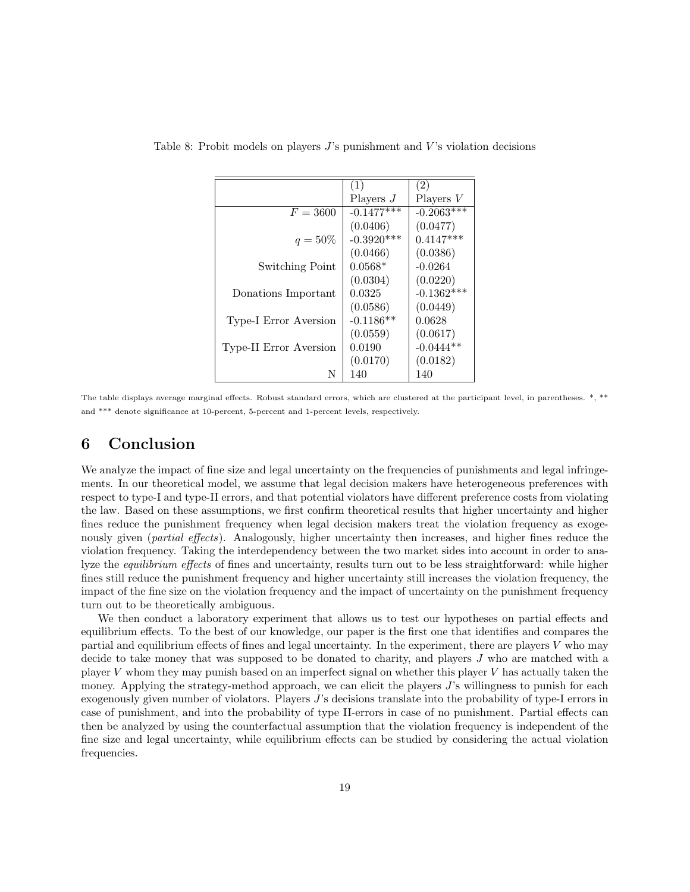|                        | (1)          | (2)          |
|------------------------|--------------|--------------|
|                        | Players $J$  | Players $V$  |
| $F = 3600$             | $-0.1477***$ | $-0.2063***$ |
|                        | (0.0406)     | (0.0477)     |
| $q = 50\%$             | $-0.3920***$ | $0.4147***$  |
|                        | (0.0466)     | (0.0386)     |
| Switching Point        | $0.0568*$    | $-0.0264$    |
|                        | (0.0304)     | (0.0220)     |
| Donations Important    | 0.0325       | $-0.1362***$ |
|                        | (0.0586)     | (0.0449)     |
| Type-I Error Aversion  | $-0.1186**$  | 0.0628       |
|                        | (0.0559)     | (0.0617)     |
| Type-II Error Aversion | 0.0190       | $-0.0444**$  |
|                        | (0.0170)     | (0.0182)     |
| N                      | 140          | 140          |

<span id="page-20-1"></span>Table 8: Probit models on players  $J$ 's punishment and  $V$ 's violation decisions

The table displays average marginal effects. Robust standard errors, which are clustered at the participant level, in parentheses. \*, \*\* and \*\*\* denote significance at 10-percent, 5-percent and 1-percent levels, respectively.

### <span id="page-20-0"></span>6 Conclusion

We analyze the impact of fine size and legal uncertainty on the frequencies of punishments and legal infringements. In our theoretical model, we assume that legal decision makers have heterogeneous preferences with respect to type-I and type-II errors, and that potential violators have different preference costs from violating the law. Based on these assumptions, we first confirm theoretical results that higher uncertainty and higher fines reduce the punishment frequency when legal decision makers treat the violation frequency as exogenously given (*partial effects*). Analogously, higher uncertainty then increases, and higher fines reduce the violation frequency. Taking the interdependency between the two market sides into account in order to analyze the *equilibrium effects* of fines and uncertainty, results turn out to be less straightforward: while higher fines still reduce the punishment frequency and higher uncertainty still increases the violation frequency, the impact of the fine size on the violation frequency and the impact of uncertainty on the punishment frequency turn out to be theoretically ambiguous.

We then conduct a laboratory experiment that allows us to test our hypotheses on partial effects and equilibrium effects. To the best of our knowledge, our paper is the first one that identifies and compares the partial and equilibrium effects of fines and legal uncertainty. In the experiment, there are players  $V$  who may decide to take money that was supposed to be donated to charity, and players J who are matched with a player V whom they may punish based on an imperfect signal on whether this player V has actually taken the money. Applying the strategy-method approach, we can elicit the players  $J$ 's willingness to punish for each exogenously given number of violators. Players J's decisions translate into the probability of type-I errors in case of punishment, and into the probability of type II-errors in case of no punishment. Partial effects can then be analyzed by using the counterfactual assumption that the violation frequency is independent of the fine size and legal uncertainty, while equilibrium effects can be studied by considering the actual violation frequencies.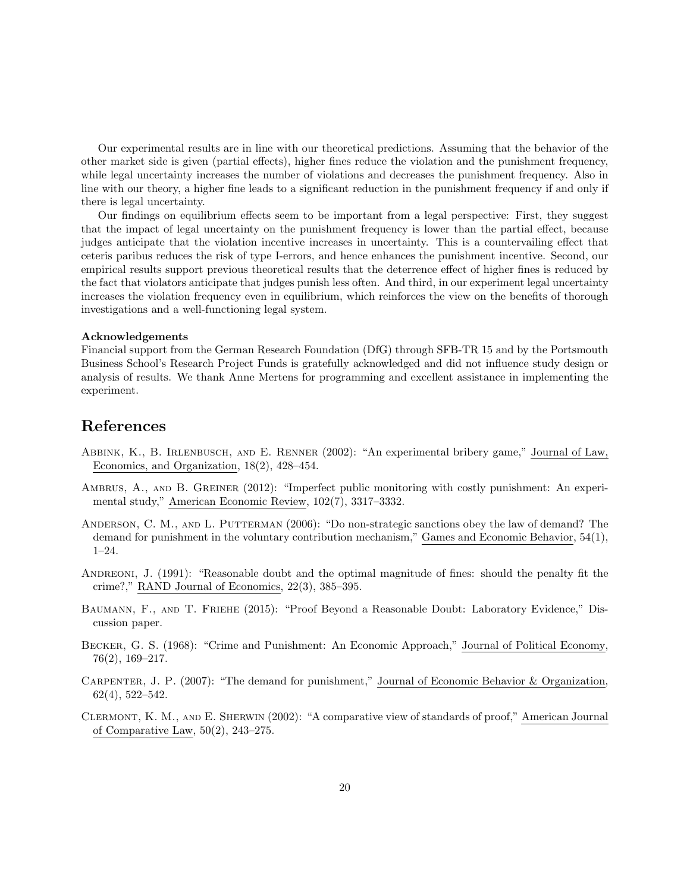Our experimental results are in line with our theoretical predictions. Assuming that the behavior of the other market side is given (partial effects), higher fines reduce the violation and the punishment frequency, while legal uncertainty increases the number of violations and decreases the punishment frequency. Also in line with our theory, a higher fine leads to a significant reduction in the punishment frequency if and only if there is legal uncertainty.

Our findings on equilibrium effects seem to be important from a legal perspective: First, they suggest that the impact of legal uncertainty on the punishment frequency is lower than the partial effect, because judges anticipate that the violation incentive increases in uncertainty. This is a countervailing effect that ceteris paribus reduces the risk of type I-errors, and hence enhances the punishment incentive. Second, our empirical results support previous theoretical results that the deterrence effect of higher fines is reduced by the fact that violators anticipate that judges punish less often. And third, in our experiment legal uncertainty increases the violation frequency even in equilibrium, which reinforces the view on the benefits of thorough investigations and a well-functioning legal system.

#### Acknowledgements

Financial support from the German Research Foundation (DfG) through SFB-TR 15 and by the Portsmouth Business School's Research Project Funds is gratefully acknowledged and did not influence study design or analysis of results. We thank Anne Mertens for programming and excellent assistance in implementing the experiment.

### References

- Abbink, K., B. Irlenbusch, and E. Renner (2002): "An experimental bribery game," Journal of Law, Economics, and Organization, 18(2), 428–454.
- AMBRUS, A., AND B. GREINER (2012): "Imperfect public monitoring with costly punishment: An experimental study," American Economic Review, 102(7), 3317–3332.
- ANDERSON, C. M., AND L. PUTTERMAN (2006): "Do non-strategic sanctions obey the law of demand? The demand for punishment in the voluntary contribution mechanism," Games and Economic Behavior, 54(1), 1–24.
- ANDREONI, J. (1991): "Reasonable doubt and the optimal magnitude of fines: should the penalty fit the crime?," RAND Journal of Economics, 22(3), 385–395.
- Baumann, F., and T. Friehe (2015): "Proof Beyond a Reasonable Doubt: Laboratory Evidence," Discussion paper.
- Becker, G. S. (1968): "Crime and Punishment: An Economic Approach," Journal of Political Economy, 76(2), 169–217.
- Carpenter, J. P. (2007): "The demand for punishment," Journal of Economic Behavior & Organization, 62(4), 522–542.
- Clermont, K. M., and E. Sherwin (2002): "A comparative view of standards of proof," American Journal of Comparative Law, 50(2), 243–275.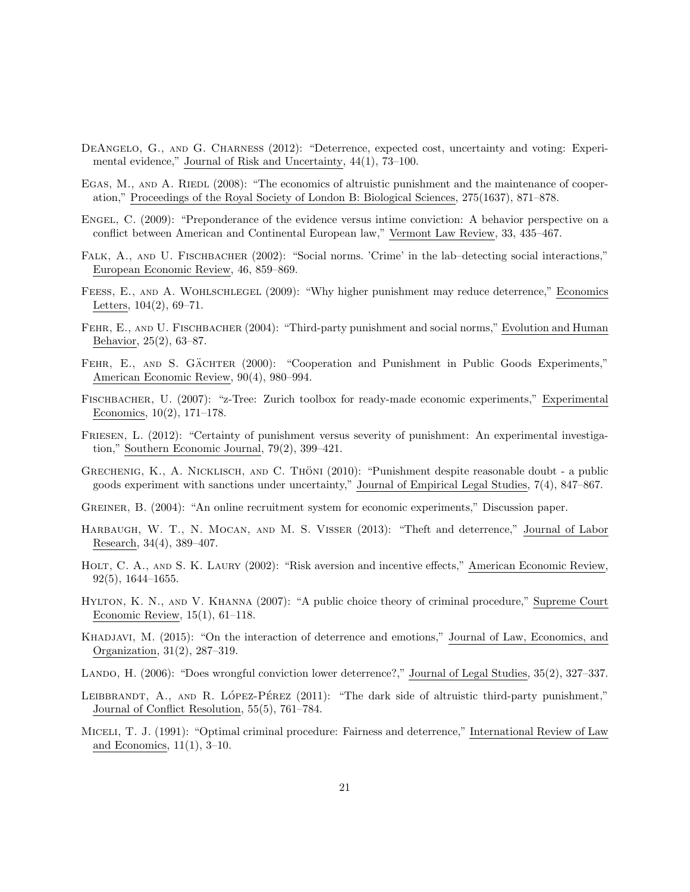- DEANGELO, G., AND G. CHARNESS (2012): "Deterrence, expected cost, uncertainty and voting: Experimental evidence," Journal of Risk and Uncertainty, 44(1), 73–100.
- EGAS, M., AND A. RIEDL (2008): "The economics of altruistic punishment and the maintenance of cooperation," Proceedings of the Royal Society of London B: Biological Sciences, 275(1637), 871–878.
- Engel, C. (2009): "Preponderance of the evidence versus intime conviction: A behavior perspective on a conflict between American and Continental European law," Vermont Law Review, 33, 435–467.
- FALK, A., AND U. FISCHBACHER (2002): "Social norms. 'Crime' in the lab-detecting social interactions," European Economic Review, 46, 859–869.
- FEESS, E., AND A. WOHLSCHLEGEL (2009): "Why higher punishment may reduce deterrence," Economics Letters, 104(2), 69–71.
- Fehr, E., and U. Fischbacher (2004): "Third-party punishment and social norms," Evolution and Human Behavior, 25(2), 63–87.
- FEHR, E., AND S. GÄCHTER (2000): "Cooperation and Punishment in Public Goods Experiments," American Economic Review, 90(4), 980–994.
- Fischbacher, U. (2007): "z-Tree: Zurich toolbox for ready-made economic experiments," Experimental Economics, 10(2), 171–178.
- FRIESEN, L. (2012): "Certainty of punishment versus severity of punishment: An experimental investigation," Southern Economic Journal, 79(2), 399–421.
- GRECHENIG, K., A. NICKLISCH, AND C. THÖNI (2010): "Punishment despite reasonable doubt a public goods experiment with sanctions under uncertainty," Journal of Empirical Legal Studies, 7(4), 847–867.
- Greiner, B. (2004): "An online recruitment system for economic experiments," Discussion paper.
- HARBAUGH, W. T., N. MOCAN, AND M. S. VISSER (2013): "Theft and deterrence," Journal of Labor Research, 34(4), 389–407.
- HOLT, C. A., AND S. K. LAURY (2002): "Risk aversion and incentive effects," American Economic Review, 92(5), 1644–1655.
- Hylton, K. N., and V. Khanna (2007): "A public choice theory of criminal procedure," Supreme Court Economic Review, 15(1), 61–118.
- Khadjavi, M. (2015): "On the interaction of deterrence and emotions," Journal of Law, Economics, and Organization, 31(2), 287–319.
- LANDO, H. (2006): "Does wrongful conviction lower deterrence?," Journal of Legal Studies, 35(2), 327–337.
- LEIBBRANDT, A., AND R. LÓPEZ-PÉREZ  $(2011)$ : "The dark side of altruistic third-party punishment," Journal of Conflict Resolution, 55(5), 761–784.
- Miceli, T. J. (1991): "Optimal criminal procedure: Fairness and deterrence," International Review of Law and Economics, 11(1), 3–10.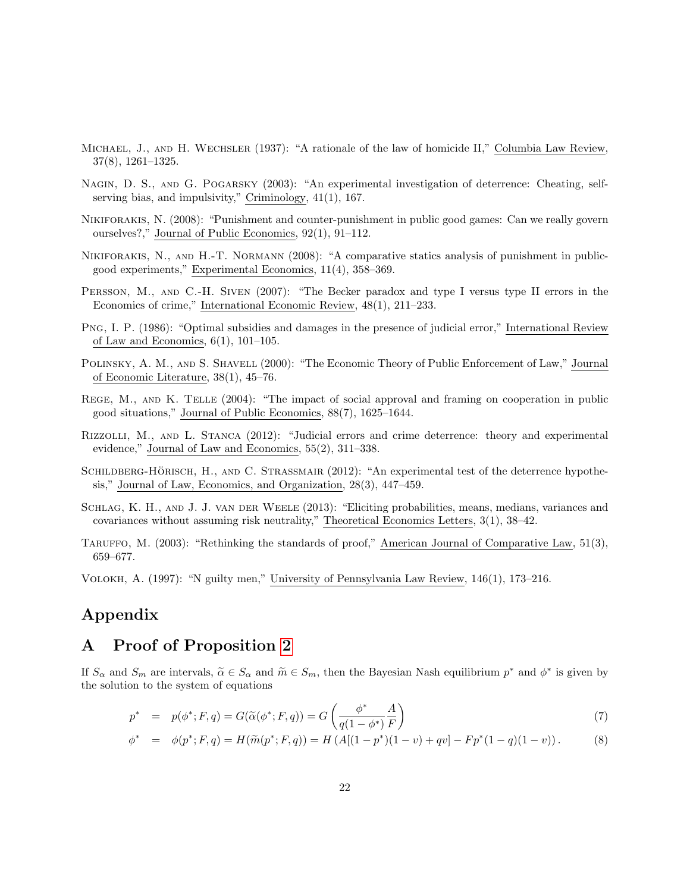- Michael, J., and H. Wechsler (1937): "A rationale of the law of homicide II," Columbia Law Review, 37(8), 1261–1325.
- Nagin, D. S., and G. Pogarsky (2003): "An experimental investigation of deterrence: Cheating, selfserving bias, and impulsivity," Criminology, 41(1), 167.
- Nikiforakis, N. (2008): "Punishment and counter-punishment in public good games: Can we really govern ourselves?," Journal of Public Economics, 92(1), 91–112.
- Nikiforakis, N., and H.-T. Normann (2008): "A comparative statics analysis of punishment in publicgood experiments," Experimental Economics, 11(4), 358–369.
- PERSSON, M., AND C.-H. SIVEN (2007): "The Becker paradox and type I versus type II errors in the Economics of crime," International Economic Review, 48(1), 211–233.
- Png, I. P. (1986): "Optimal subsidies and damages in the presence of judicial error," International Review of Law and Economics,  $6(1)$ ,  $101-105$ .
- Polinsky, A. M., and S. Shavell (2000): "The Economic Theory of Public Enforcement of Law," Journal of Economic Literature, 38(1), 45–76.
- REGE, M., AND K. TELLE (2004): "The impact of social approval and framing on cooperation in public good situations," Journal of Public Economics, 88(7), 1625–1644.
- Rizzolli, M., and L. Stanca (2012): "Judicial errors and crime deterrence: theory and experimental evidence," Journal of Law and Economics, 55(2), 311–338.
- SCHILDBERG-HÖRISCH, H., AND C. STRASSMAIR (2012): "An experimental test of the deterrence hypothesis," Journal of Law, Economics, and Organization, 28(3), 447–459.
- Schlag, K. H., and J. J. van der Weele (2013): "Eliciting probabilities, means, medians, variances and covariances without assuming risk neutrality," Theoretical Economics Letters, 3(1), 38–42.
- TARUFFO, M. (2003): "Rethinking the standards of proof," American Journal of Comparative Law, 51(3), 659–677.

Volokh, A. (1997): "N guilty men," University of Pennsylvania Law Review, 146(1), 173–216.

### Appendix

### <span id="page-23-0"></span>A Proof of Proposition [2](#page-8-2)

If  $S_{\alpha}$  and  $S_m$  are intervals,  $\tilde{\alpha} \in S_{\alpha}$  and  $\tilde{m} \in S_m$ , then the Bayesian Nash equilibrium  $p^*$  and  $\phi^*$  is given by the solution to the system of equations the solution to the system of equations

<span id="page-23-1"></span>
$$
p^* = p(\phi^*; F, q) = G(\widetilde{\alpha}(\phi^*; F, q)) = G\left(\frac{\phi^*}{q(1 - \phi^*)} \frac{A}{F}\right)
$$
\n
$$
(7)
$$

$$
\phi^* = \phi(p^*; F, q) = H(\widetilde{m}(p^*; F, q)) = H(A[(1 - p^*)(1 - v) + qv] - Fp^*(1 - q)(1 - v)).
$$
\n(8)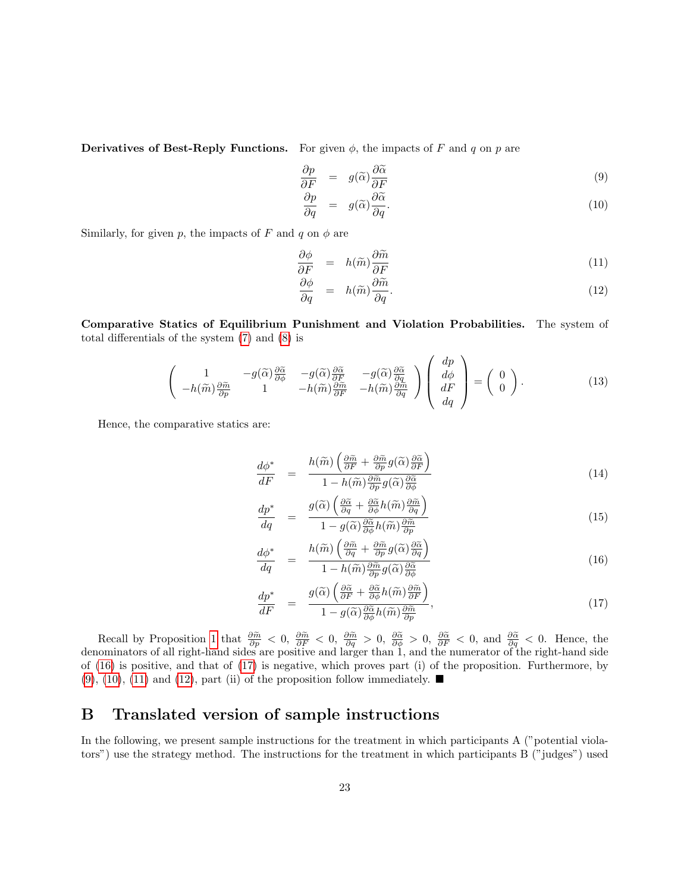Derivatives of Best-Reply Functions. For given  $\phi$ , the impacts of F and q on p are

<span id="page-24-2"></span>
$$
\frac{\partial p}{\partial F} = g(\tilde{\alpha}) \frac{\partial \tilde{\alpha}}{\partial F}
$$
\n(9)

$$
\frac{\partial p}{\partial q} = g(\tilde{\alpha}) \frac{\partial \tilde{\alpha}}{\partial q}.
$$
\n(10)

Similarly, for given p, the impacts of F and q on  $\phi$  are

<span id="page-24-3"></span>
$$
\frac{\partial \phi}{\partial F} = h(\widetilde{m}) \frac{\partial \widetilde{m}}{\partial F} \tag{11}
$$

$$
\frac{\partial \phi}{\partial q} = h(\tilde{m}) \frac{\partial \tilde{m}}{\partial q}.
$$
\n(12)

Comparative Statics of Equilibrium Punishment and Violation Probabilities. The system of total differentials of the system [\(7\)](#page-23-1) and [\(8\)](#page-23-1) is

$$
\begin{pmatrix}\n1 & -g(\widetilde{\alpha})\frac{\partial \widetilde{\alpha}}{\partial \widetilde{p}} & -g(\widetilde{\alpha})\frac{\partial \widetilde{\alpha}}{\partial F} & -g(\widetilde{\alpha})\frac{\partial \widetilde{\alpha}}{\partial F} & -g(\widetilde{\alpha})\frac{\partial \widetilde{\alpha}}{\partial q} \\
-h(\widetilde{m})\frac{\partial \widetilde{m}}{\partial p} & 1 & -h(\widetilde{m})\frac{\partial \widetilde{m}}{\partial F} & -h(\widetilde{m})\frac{\partial \widetilde{m}}{\partial q}\n\end{pmatrix}\n\begin{pmatrix}\ndp \\
d\phi \\
dF \\
dq\n\end{pmatrix} =\n\begin{pmatrix}\n0 \\
0\n\end{pmatrix}.
$$
\n(13)

Hence, the comparative statics are:

<span id="page-24-1"></span>
$$
\frac{d\phi^*}{dF} = \frac{h(\widetilde{m})\left(\frac{\partial \widetilde{m}}{\partial F} + \frac{\partial \widetilde{m}}{\partial p}g(\widetilde{\alpha})\frac{\partial \widetilde{\alpha}}{\partial F}\right)}{1 - h(\widetilde{m})\frac{\partial \widetilde{m}}{\partial p}g(\widetilde{\alpha})\frac{\partial \widetilde{\alpha}}{\partial \phi}}
$$
\n(14)

$$
\frac{dp^*}{dq} = \frac{g(\widetilde{\alpha}) \left( \frac{\partial \widetilde{\alpha}}{\partial q} + \frac{\partial \widetilde{\alpha}}{\partial \phi} h(\widetilde{m}) \frac{\partial \widetilde{m}}{\partial q} \right)}{1 - g(\widetilde{\alpha}) \frac{\partial \widetilde{\alpha}}{\partial \phi} h(\widetilde{m}) \frac{\partial \widetilde{m}}{\partial p}}
$$
\n(15)

$$
\frac{d\phi^*}{dq} = \frac{h(\widetilde{m})\left(\frac{\partial \widetilde{m}}{\partial q} + \frac{\partial \widetilde{m}}{\partial p}g(\widetilde{\alpha})\frac{\partial \widetilde{\alpha}}{\partial q}\right)}{1 - h(\widetilde{m})\frac{\partial \widetilde{m}}{\partial p}g(\widetilde{\alpha})\frac{\partial \widetilde{\alpha}}{\partial \phi}}
$$
\n(16)

$$
\frac{dp^*}{dF} = \frac{g(\widetilde{\alpha})\left(\frac{\partial \widetilde{\alpha}}{\partial F} + \frac{\partial \widetilde{\alpha}}{\partial \phi}h(\widetilde{m})\frac{\partial \widetilde{m}}{\partial F}\right)}{1 - g(\widetilde{\alpha})\frac{\partial \widetilde{\alpha}}{\partial \phi}h(\widetilde{m})\frac{\partial \widetilde{m}}{\partial p}},\tag{17}
$$

Recall by Proposition [1](#page-8-1) that  $\frac{\partial \tilde{m}}{\partial p} < 0$ ,  $\frac{\partial \tilde{m}}{\partial F} < 0$ ,  $\frac{\partial \tilde{m}}{\partial q} > 0$ ,  $\frac{\partial \tilde{\alpha}}{\partial \phi} > 0$ ,  $\frac{\partial \tilde{\alpha}}{\partial F} < 0$ , and  $\frac{\partial \tilde{\alpha}}{\partial q} < 0$ . Hence, the denominators of all right-hand sides are positive and larger than 1, and the numerator of the right-hand side of [\(16\)](#page-24-1) is positive, and that of [\(17\)](#page-24-1) is negative, which proves part (i) of the proposition. Furthermore, by  $(9)$ ,  $(10)$ ,  $(11)$  and  $(12)$ , part  $(ii)$  of the proposition follow immediately.

# <span id="page-24-0"></span>B Translated version of sample instructions

In the following, we present sample instructions for the treatment in which participants A ("potential violators") use the strategy method. The instructions for the treatment in which participants B ("judges") used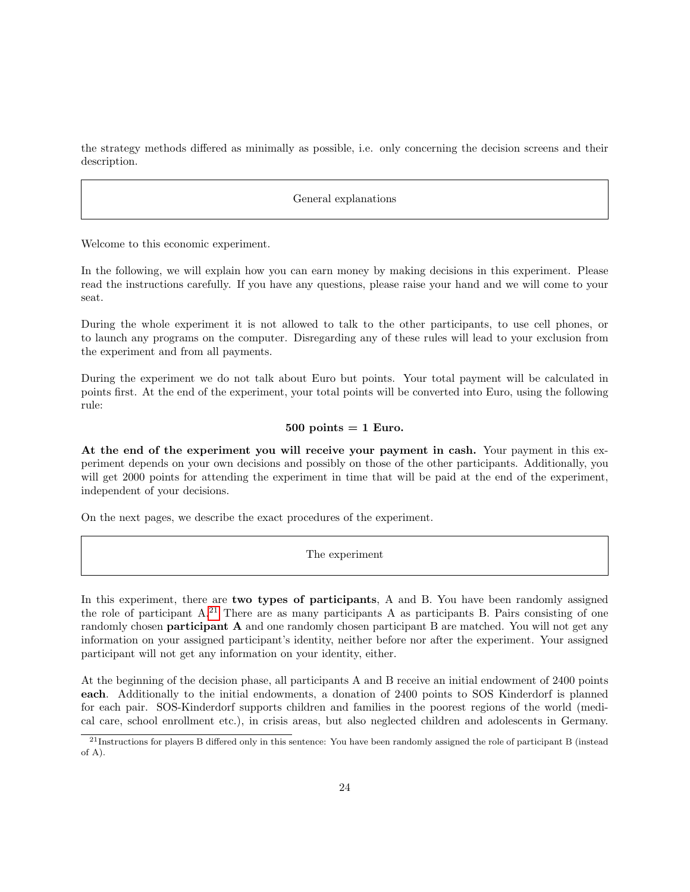the strategy methods differed as minimally as possible, i.e. only concerning the decision screens and their description.

General explanations

Welcome to this economic experiment.

In the following, we will explain how you can earn money by making decisions in this experiment. Please read the instructions carefully. If you have any questions, please raise your hand and we will come to your seat.

During the whole experiment it is not allowed to talk to the other participants, to use cell phones, or to launch any programs on the computer. Disregarding any of these rules will lead to your exclusion from the experiment and from all payments.

During the experiment we do not talk about Euro but points. Your total payment will be calculated in points first. At the end of the experiment, your total points will be converted into Euro, using the following rule:

#### $500$  points  $= 1$  Euro.

At the end of the experiment you will receive your payment in cash. Your payment in this experiment depends on your own decisions and possibly on those of the other participants. Additionally, you will get 2000 points for attending the experiment in time that will be paid at the end of the experiment, independent of your decisions.

On the next pages, we describe the exact procedures of the experiment.

The experiment

In this experiment, there are **two types of participants**, A and B. You have been randomly assigned the role of participant  $A^{21}$  $A^{21}$  $A^{21}$  There are as many participants A as participants B. Pairs consisting of one randomly chosen **participant A** and one randomly chosen participant B are matched. You will not get any information on your assigned participant's identity, neither before nor after the experiment. Your assigned participant will not get any information on your identity, either.

At the beginning of the decision phase, all participants A and B receive an initial endowment of 2400 points each. Additionally to the initial endowments, a donation of 2400 points to SOS Kinderdorf is planned for each pair. SOS-Kinderdorf supports children and families in the poorest regions of the world (medical care, school enrollment etc.), in crisis areas, but also neglected children and adolescents in Germany.

<span id="page-25-0"></span><sup>&</sup>lt;sup>21</sup>Instructions for players B differed only in this sentence: You have been randomly assigned the role of participant B (instead of A).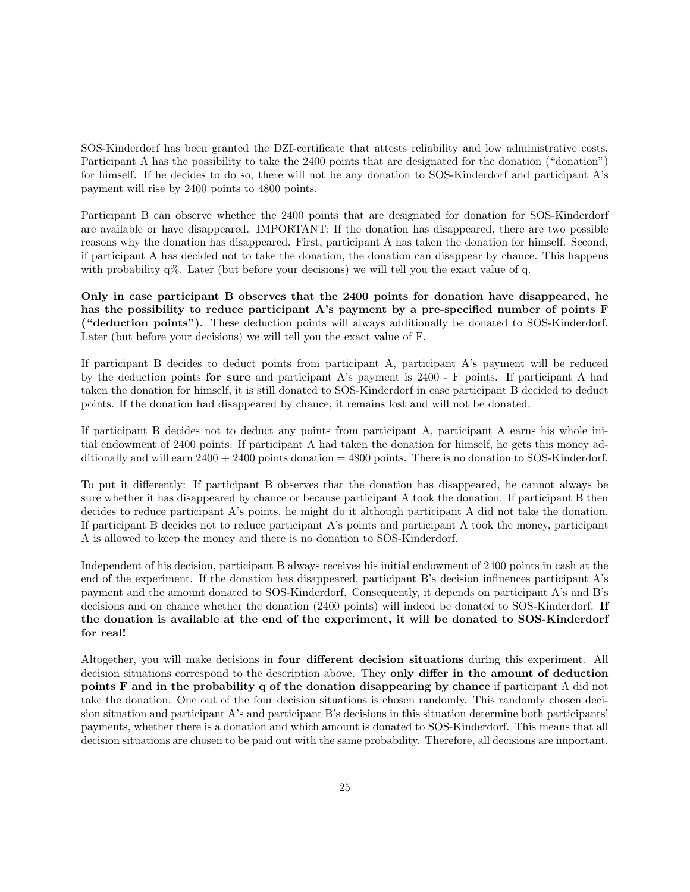SOS-Kinderdorf has been granted the DZI-certificate that attests reliability and low administrative costs. Participant A has the possibility to take the 2400 points that are designated for the donation ("donation") for himself. If he decides to do so, there will not be any donation to SOS-Kinderdorf and participant A's payment will rise by 2400 points to 4800 points.

Participant B can observe whether the 2400 points that are designated for donation for SOS-Kinderdorf are available or have disappeared. IMPORTANT: If the donation has disappeared, there are two possible reasons why the donation has disappeared. First, participant A has taken the donation for himself. Second, if participant A has decided not to take the donation, the donation can disappear by chance. This happens with probability q%. Later (but before your decisions) we will tell you the exact value of q.

Only in case participant B observes that the 2400 points for donation have disappeared, he has the possibility to reduce participant A's payment by a pre-specified number of points F ("deduction points"). These deduction points will always additionally be donated to SOS-Kinderdorf. Later (but before your decisions) we will tell you the exact value of F.

If participant B decides to deduct points from participant A, participant A's payment will be reduced by the deduction points for sure and participant A's payment is 2400 - F points. If participant A had taken the donation for himself, it is still donated to SOS-Kinderdorf in case participant B decided to deduct points. If the donation had disappeared by chance, it remains lost and will not be donated.

If participant B decides not to deduct any points from participant A, participant A earns his whole initial endowment of 2400 points. If participant A had taken the donation for himself, he gets this money additionally and will earn  $2400 + 2400$  points donation = 4800 points. There is no donation to SOS-Kinderdorf.

To put it differently: If participant B observes that the donation has disappeared, he cannot always be sure whether it has disappeared by chance or because participant A took the donation. If participant B then decides to reduce participant A's points, he might do it although participant A did not take the donation. If participant B decides not to reduce participant A's points and participant A took the money, participant A is allowed to keep the money and there is no donation to SOS-Kinderdorf.

Independent of his decision, participant B always receives his initial endowment of 2400 points in cash at the end of the experiment. If the donation has disappeared, participant B's decision influences participant A's payment and the amount donated to SOS-Kinderdorf. Consequently, it depends on participant A's and B's decisions and on chance whether the donation (2400 points) will indeed be donated to SOS-Kinderdorf. If the donation is available at the end of the experiment, it will be donated to SOS-Kinderdorf for real!

Altogether, you will make decisions in four different decision situations during this experiment. All decision situations correspond to the description above. They only differ in the amount of deduction points F and in the probability q of the donation disappearing by chance if participant A did not take the donation. One out of the four decision situations is chosen randomly. This randomly chosen decision situation and participant A's and participant B's decisions in this situation determine both participants' payments, whether there is a donation and which amount is donated to SOS-Kinderdorf. This means that all decision situations are chosen to be paid out with the same probability. Therefore, all decisions are important.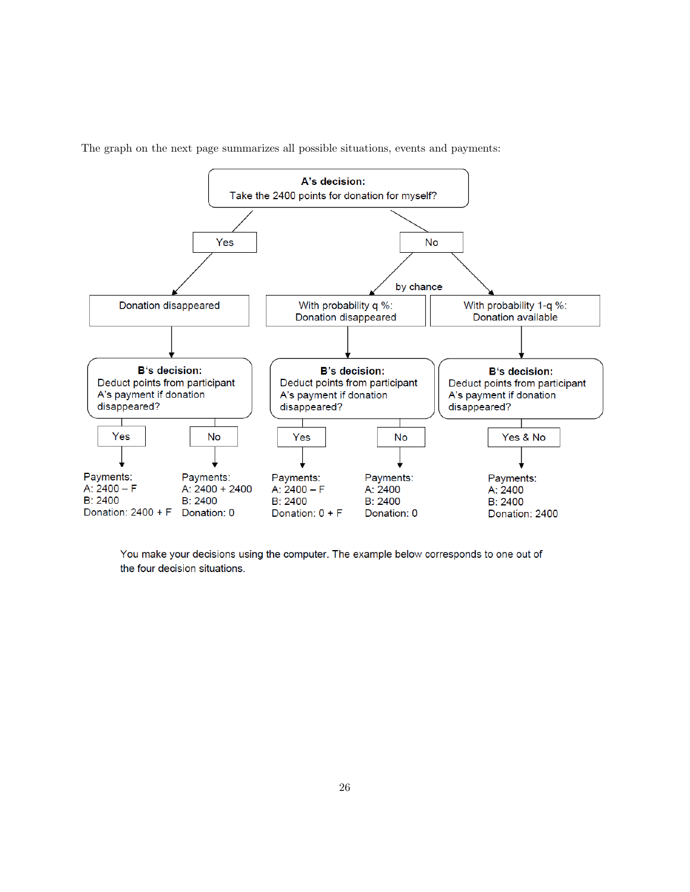

The graph on the next page summarizes all possible situations, events and payments:

You make your decisions using the computer. The example below corresponds to one out of the four decision situations.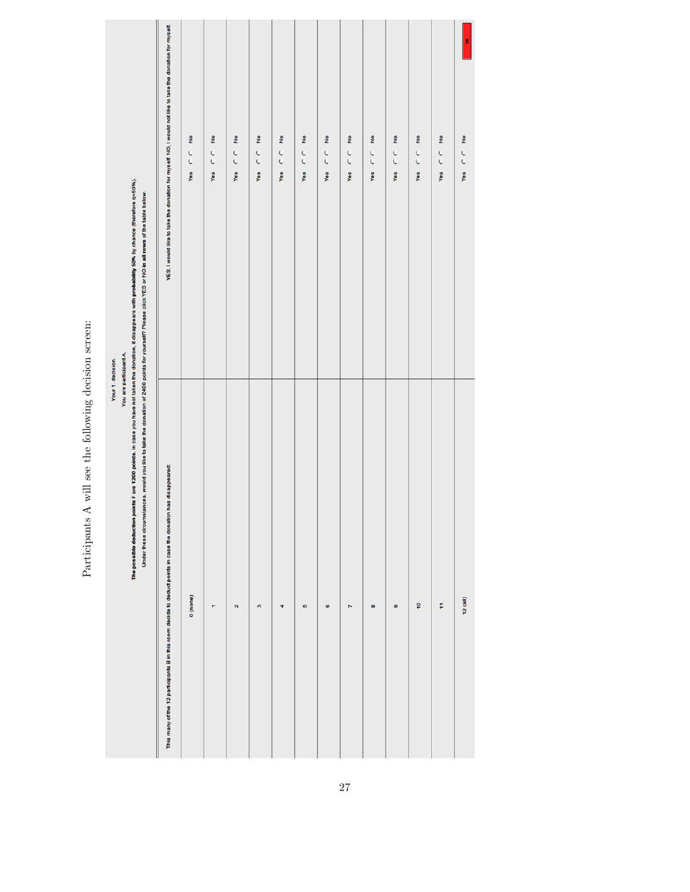|                                                                                                                                                                                                                                                                                                                                                                | YES, I would like to take the donation for myself. NO, I would not like to take the donation for myself.      | ż<br>Yes $C$ | ż<br>$\frac{C}{C}$<br>Yes | ż<br>Yes $C$       | ż<br>Yes $C$ $C$ | ż<br>$\frac{c}{c}$<br>Yes | ż<br>Yes $C$ | $\frac{9}{2}$<br>$\frac{c}{c}$<br>Yes | ş<br>Yes $C$ | ş<br>Yes $C$ $C$ | $\frac{9}{2}$<br>C<br>C<br>Yes | ş<br>Yes C C | ż<br>Yes $C$ | š<br>ż<br>Yes $C$ $C$ |
|----------------------------------------------------------------------------------------------------------------------------------------------------------------------------------------------------------------------------------------------------------------------------------------------------------------------------------------------------------------|---------------------------------------------------------------------------------------------------------------|--------------|---------------------------|--------------------|------------------|---------------------------|--------------|---------------------------------------|--------------|------------------|--------------------------------|--------------|--------------|-----------------------|
| The possible deduction points F are 1200 points. In case you have not taken the donation, it disappears with probability 50% by chance (therefore q=50%).<br>Under these circumstances, would you like to take the donation of 2400 points for yourself? Please click YES or NO in all rows of the table below.<br>You are participant A.<br>Your 1. decision. | This many of the 12 participants B in this room decide to deduct points in case the donation has disappeared: | 0 (none)     | ۳                         | $\mathbf{\hat{N}}$ | ø                | Ħ                         | KD.          | Ø                                     | N            | œ                | ø                              | ę            | F            | 12(a  )               |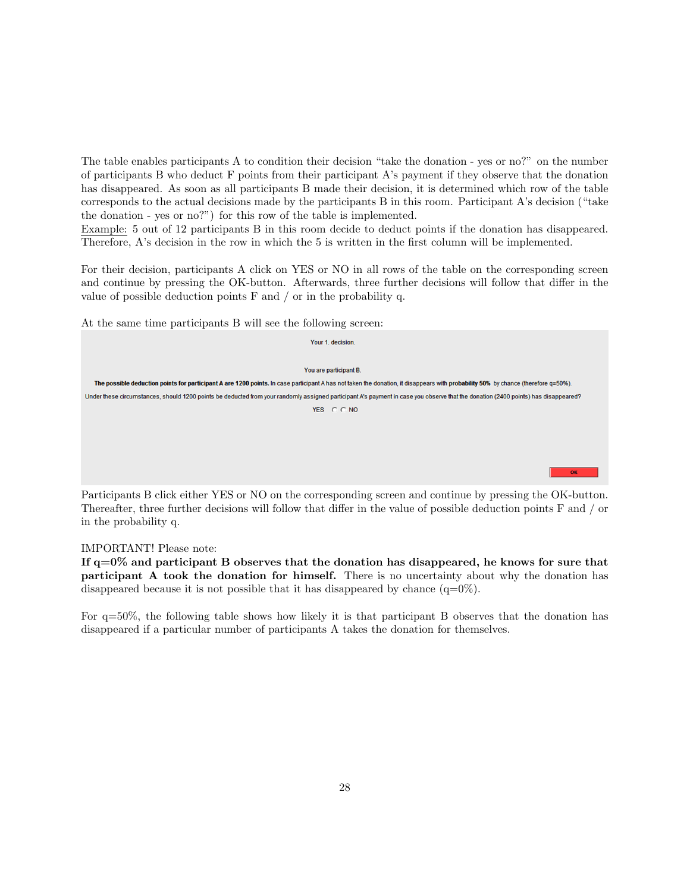The table enables participants A to condition their decision "take the donation - yes or no?" on the number of participants B who deduct F points from their participant A's payment if they observe that the donation has disappeared. As soon as all participants B made their decision, it is determined which row of the table corresponds to the actual decisions made by the participants B in this room. Participant A's decision ("take the donation - yes or no?") for this row of the table is implemented.

Example: 5 out of 12 participants B in this room decide to deduct points if the donation has disappeared. Therefore, A's decision in the row in which the 5 is written in the first column will be implemented.

For their decision, participants A click on YES or NO in all rows of the table on the corresponding screen and continue by pressing the OK-button. Afterwards, three further decisions will follow that differ in the value of possible deduction points F and / or in the probability q.

At the same time participants B will see the following screen:

| Your 1, decision.                                                                                                                                                                  |
|------------------------------------------------------------------------------------------------------------------------------------------------------------------------------------|
|                                                                                                                                                                                    |
| You are participant B.                                                                                                                                                             |
| The possible deduction points for participant A are 1200 points. In case participant A has not taken the donation, it disappears with probability 50% by chance (therefore q=50%). |
| Under these circumstances, should 1200 points be deducted from your randomly assigned participant A's payment in case you observe that the donation (2400 points) has disappeared? |
| YES CCNO                                                                                                                                                                           |
|                                                                                                                                                                                    |
|                                                                                                                                                                                    |
|                                                                                                                                                                                    |
| <b>OK</b>                                                                                                                                                                          |

Participants B click either YES or NO on the corresponding screen and continue by pressing the OK-button. Thereafter, three further decisions will follow that differ in the value of possible deduction points F and / or in the probability q.

#### IMPORTANT! Please note:

If q=0% and participant B observes that the donation has disappeared, he knows for sure that participant A took the donation for himself. There is no uncertainty about why the donation has disappeared because it is not possible that it has disappeared by chance  $(q=0\%)$ .

For q=50%, the following table shows how likely it is that participant B observes that the donation has disappeared if a particular number of participants A takes the donation for themselves.